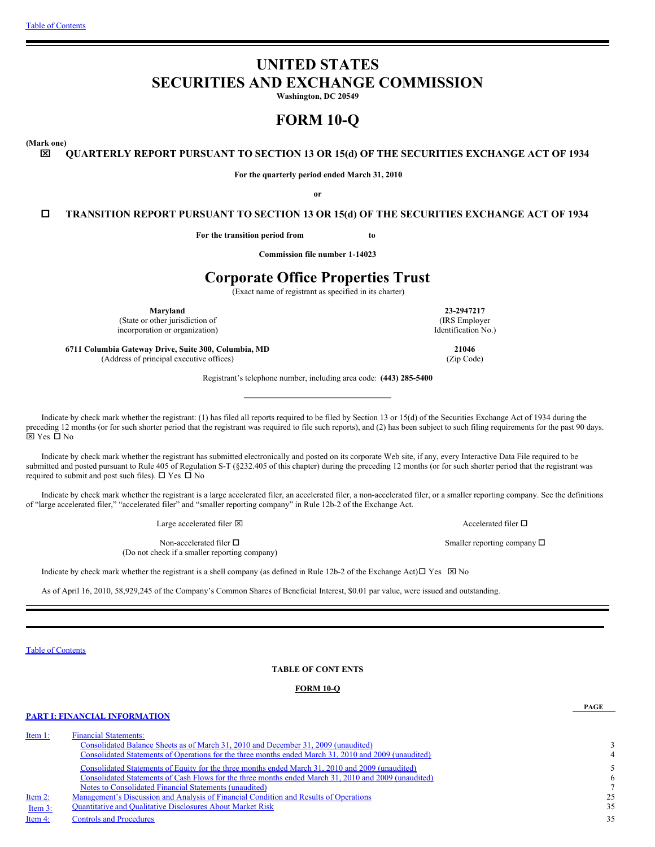# **UNITED STATES SECURITIES AND EXCHANGE COMMISSION**

**Washington, DC 20549**

# **FORM 10-Q**

**(Mark one)**

x **QUARTERLY REPORT PURSUANT TO SECTION 13 OR 15(d) OF THE SECURITIES EXCHANGE ACT OF 1934**

**For the quarterly period ended March 31, 2010**

**or**

o **TRANSITION REPORT PURSUANT TO SECTION 13 OR 15(d) OF THE SECURITIES EXCHANGE ACT OF 1934**

**For the transition period from to**

**Commission file number 1-14023**

# **Corporate Office Properties Trust**

(Exact name of registrant as specified in its charter)

**Maryland 23-2947217** (State or other jurisdiction of (IRS Employer incorporation or organization) Identification No.)

**6711 Columbia Gateway Drive, Suite 300, Columbia, MD 21046** (Address of principal executive offices) (Zip Code)

Registrant's telephone number, including area code: **(443) 285-5400**

Indicate by check mark whether the registrant: (1) has filed all reports required to be filed by Section 13 or 15(d) of the Securities Exchange Act of 1934 during the preceding 12 months (or for such shorter period that the registrant was required to file such reports), and (2) has been subject to such filing requirements for the past 90 days.  $\boxtimes$  Yes  $\Box$  No

Indicate by check mark whether the registrant has submitted electronically and posted on its corporate Web site, if any, every Interactive Data File required to be submitted and posted pursuant to Rule 405 of Regulation S-T (§232.405 of this chapter) during the preceding 12 months (or for such shorter period that the registrant was required to submit and post such files).  $\Box$  Yes  $\overline{\Box}$  No

Indicate by check mark whether the registrant is a large accelerated filer, an accelerated filer, a non-accelerated filer, or a smaller reporting company. See the definitions of "large accelerated filer," "accelerated filer" and "smaller reporting company" in Rule 12b-2 of the Exchange Act.

Large accelerated filer  $\boxtimes$ 

Non-accelerated filer  $\square$ (Do not check if a smaller reporting company)

Indicate by check mark whether the registrant is a shell company (as defined in Rule 12b-2 of the Exchange Act) $\Box$  Yes  $\boxtimes$  No

As of April 16, 2010, 58,929,245 of the Company's Common Shares of Beneficial Interest, \$0.01 par value, were issued and outstanding.

Table of [Contents](#page-0-0)

**TABLE OF CONT ENTS**

<span id="page-0-0"></span>**FORM 10-Q**

# **PART I: FINANCIAL [INFORMATION](#page-1-0)**

| Item 1:    | <b>Financial Statements:</b>                                                                         |    |
|------------|------------------------------------------------------------------------------------------------------|----|
|            | Consolidated Balance Sheets as of March 31, 2010 and December 31, 2009 (unaudited)                   |    |
|            | Consolidated Statements of Operations for the three months ended March 31, 2010 and 2009 (unaudited) |    |
|            | Consolidated Statements of Equity for the three months ended March 31, 2010 and 2009 (unaudited)     |    |
|            | Consolidated Statements of Cash Flows for the three months ended March 31, 2010 and 2009 (unaudited) | 6  |
|            | Notes to Consolidated Financial Statements (unaudited)                                               |    |
| Item $2$ : | Management's Discussion and Analysis of Financial Condition and Results of Operations                | 25 |
| Item $3$ : | <b>Quantitative and Qualitative Disclosures About Market Risk</b>                                    | 35 |
| Item 4:    | <b>Controls and Procedures</b>                                                                       | 35 |

**PAGE**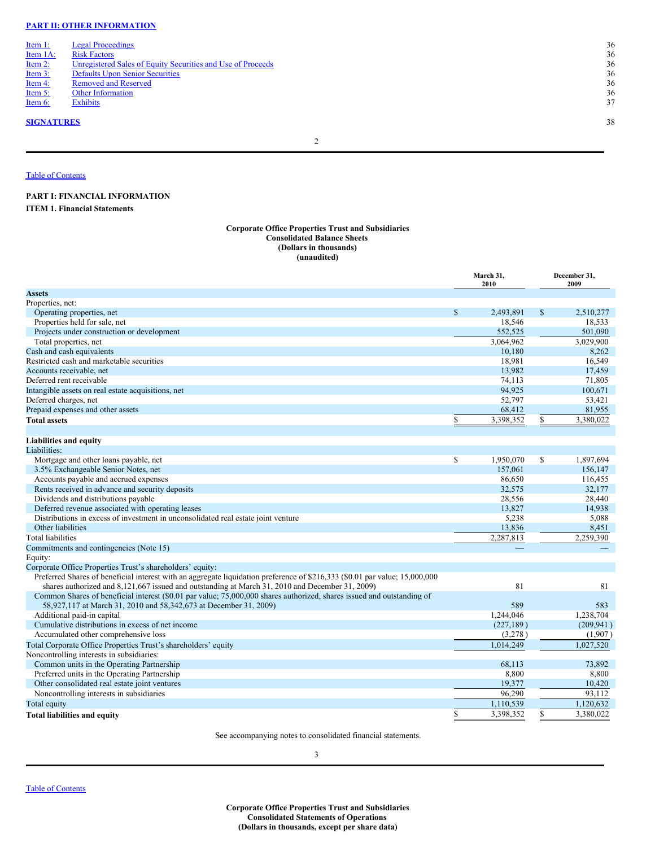# **PART II: OTHER [INFORMATION](#page-20-1)**

- 
- Form 1: Legal Proceedings<br> [Item](#page-20-2) 1A: Eisk Factors<br>
36 [Item](#page-20-3) 1A: Risk [Factors](#page-20-3) 36
- [Item](#page-20-4) 2: [Unregistered](#page-20-4) Sales of Equity Securities and Use of Proceeds 36
- [Item](#page-20-5) 3: Defaults Upon Senior [Securities](#page-20-5) 36
- From 4: Removed and Reserved 36<br>
<u>[Item](#page-20-6) 5:</u> Cher Information 36
- Other [Information](#page-20-7)<br>Exhibits  $I$ tem 6: [Exhibits](#page-20-8) 37

# **[SIGNATURES](#page-21-0)** 38

<span id="page-1-2"></span>2

# Table of [Contents](#page-0-0)

# **PART I: FINANCIAL INFORMATION ITEM 1. Financial Statements**

# <span id="page-1-1"></span><span id="page-1-0"></span>**Corporate Office Properties Trust and Subsidiaries Consolidated Balance Sheets (Dollars in thousands) (unaudited)**

|                                                                                                                             | March 31,<br>2010 |            | December 31,<br>2009 |            |
|-----------------------------------------------------------------------------------------------------------------------------|-------------------|------------|----------------------|------------|
| <b>Assets</b>                                                                                                               |                   |            |                      |            |
| Properties, net:                                                                                                            |                   |            |                      |            |
| Operating properties, net                                                                                                   | $\mathbb{S}$      | 2,493,891  | \$                   | 2,510,277  |
| Properties held for sale, net                                                                                               |                   | 18,546     |                      | 18,533     |
| Projects under construction or development                                                                                  |                   | 552,525    |                      | 501,090    |
| Total properties, net                                                                                                       |                   | 3,064,962  |                      | 3,029,900  |
| Cash and cash equivalents                                                                                                   |                   | 10,180     |                      | 8,262      |
| Restricted cash and marketable securities                                                                                   |                   | 18,981     |                      | 16,549     |
| Accounts receivable, net                                                                                                    |                   | 13,982     |                      | 17,459     |
| Deferred rent receivable                                                                                                    |                   | 74,113     |                      | 71,805     |
| Intangible assets on real estate acquisitions, net                                                                          |                   | 94,925     |                      | 100,671    |
| Deferred charges, net                                                                                                       |                   | 52,797     |                      | 53,421     |
| Prepaid expenses and other assets                                                                                           |                   | 68,412     |                      | 81,955     |
| <b>Total assets</b>                                                                                                         | \$                | 3,398,352  | \$                   | 3,380,022  |
|                                                                                                                             |                   |            |                      |            |
| <b>Liabilities and equity</b>                                                                                               |                   |            |                      |            |
| Liabilities:                                                                                                                |                   |            |                      |            |
| Mortgage and other loans payable, net                                                                                       | \$                | 1,950,070  | \$                   | 1,897,694  |
| 3.5% Exchangeable Senior Notes, net                                                                                         |                   | 157,061    |                      | 156,147    |
| Accounts payable and accrued expenses                                                                                       |                   | 86,650     |                      | 116,455    |
| Rents received in advance and security deposits                                                                             |                   | 32,575     |                      | 32,177     |
| Dividends and distributions payable                                                                                         |                   | 28,556     |                      | 28,440     |
| Deferred revenue associated with operating leases                                                                           |                   | 13,827     |                      | 14,938     |
| Distributions in excess of investment in unconsolidated real estate joint venture                                           |                   | 5,238      |                      | 5,088      |
| Other liabilities                                                                                                           |                   | 13,836     |                      | 8,451      |
| <b>Total liabilities</b>                                                                                                    |                   | 2,287,813  |                      | 2,259,390  |
| Commitments and contingencies (Note 15)                                                                                     |                   |            |                      |            |
| Equity:                                                                                                                     |                   |            |                      |            |
| Corporate Office Properties Trust's shareholders' equity:                                                                   |                   |            |                      |            |
| Preferred Shares of beneficial interest with an aggregate liquidation preference of \$216,333 (\$0.01 par value; 15,000,000 |                   |            |                      |            |
| shares authorized and 8,121,667 issued and outstanding at March 31, 2010 and December 31, 2009)                             |                   | 81         |                      | 81         |
| Common Shares of beneficial interest (\$0.01 par value; 75,000,000 shares authorized, shares issued and outstanding of      |                   |            |                      |            |
| 58,927,117 at March 31, 2010 and 58,342,673 at December 31, 2009)                                                           |                   | 589        |                      | 583        |
| Additional paid-in capital                                                                                                  |                   | 1,244,046  |                      | 1,238,704  |
| Cumulative distributions in excess of net income                                                                            |                   | (227, 189) |                      | (209, 941) |
| Accumulated other comprehensive loss                                                                                        |                   | (3,278)    |                      | (1,907)    |
| Total Corporate Office Properties Trust's shareholders' equity                                                              |                   | 1,014,249  |                      | 1,027,520  |
| Noncontrolling interests in subsidiaries:                                                                                   |                   |            |                      |            |
| Common units in the Operating Partnership                                                                                   |                   | 68,113     |                      | 73,892     |
| Preferred units in the Operating Partnership                                                                                |                   | 8,800      |                      | 8,800      |
| Other consolidated real estate joint ventures                                                                               |                   | 19,377     |                      | 10,420     |
| Noncontrolling interests in subsidiaries                                                                                    |                   | 96.290     |                      | 93.112     |
| Total equity                                                                                                                |                   | 1,110,539  |                      | 1,120,632  |
|                                                                                                                             |                   |            |                      |            |
| <b>Total liabilities and equity</b>                                                                                         | \$                | 3,398,352  | S                    | 3,380,022  |

See accompanying notes to consolidated financial statements.

<span id="page-1-3"></span>3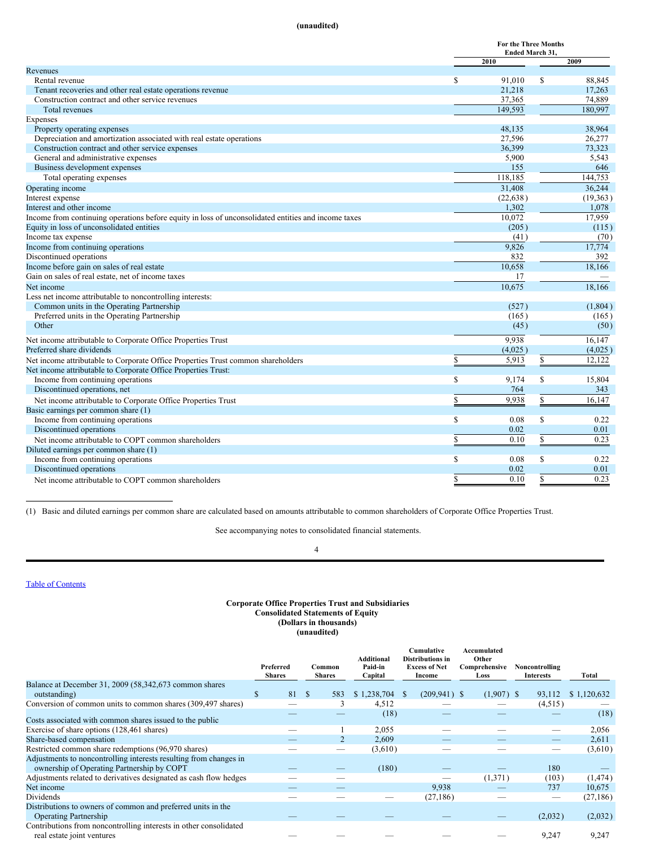# **(unaudited)**

|                                                                                                     | For the Three Months<br><b>Ended March 31.</b> |           |    |           |
|-----------------------------------------------------------------------------------------------------|------------------------------------------------|-----------|----|-----------|
|                                                                                                     |                                                | 2010      |    | 2009      |
| Revenues                                                                                            |                                                |           |    |           |
| Rental revenue                                                                                      | S                                              | 91,010    | \$ | 88,845    |
| Tenant recoveries and other real estate operations revenue                                          |                                                | 21,218    |    | 17,263    |
| Construction contract and other service revenues                                                    |                                                | 37,365    |    | 74,889    |
| <b>Total revenues</b>                                                                               |                                                | 149,593   |    | 180,997   |
| Expenses                                                                                            |                                                |           |    |           |
| Property operating expenses                                                                         |                                                | 48.135    |    | 38,964    |
| Depreciation and amortization associated with real estate operations                                |                                                | 27,596    |    | 26,277    |
| Construction contract and other service expenses                                                    |                                                | 36,399    |    | 73,323    |
| General and administrative expenses                                                                 |                                                | 5,900     |    | 5,543     |
| Business development expenses                                                                       |                                                | 155       |    | 646       |
| Total operating expenses                                                                            |                                                | 118,185   |    | 144,753   |
| Operating income                                                                                    |                                                | 31,408    |    | 36,244    |
| Interest expense                                                                                    |                                                | (22, 638) |    | (19, 363) |
| Interest and other income                                                                           |                                                | 1,302     |    | 1,078     |
| Income from continuing operations before equity in loss of unconsolidated entities and income taxes |                                                | 10,072    |    | 17,959    |
| Equity in loss of unconsolidated entities                                                           |                                                | (205)     |    | (115)     |
| Income tax expense                                                                                  |                                                | (41)      |    | (70)      |
| Income from continuing operations                                                                   |                                                | 9,826     |    | 17,774    |
| Discontinued operations                                                                             |                                                | 832       |    | 392       |
| Income before gain on sales of real estate                                                          |                                                | 10.658    |    | 18.166    |
| Gain on sales of real estate, net of income taxes                                                   |                                                | 17        |    |           |
| Net income                                                                                          |                                                | 10.675    |    | 18,166    |
| Less net income attributable to noncontrolling interests:                                           |                                                |           |    |           |
| Common units in the Operating Partnership                                                           |                                                | (527)     |    | (1,804)   |
| Preferred units in the Operating Partnership                                                        |                                                | (165)     |    | (165)     |
| Other                                                                                               |                                                | (45)      |    | (50)      |
| Net income attributable to Corporate Office Properties Trust                                        |                                                | 9.938     |    | 16.147    |
| Preferred share dividends                                                                           |                                                | (4,025)   |    | (4,025)   |
| Net income attributable to Corporate Office Properties Trust common shareholders                    | \$                                             | 5,913     | S  | 12,122    |
| Net income attributable to Corporate Office Properties Trust:                                       |                                                |           |    |           |
| Income from continuing operations                                                                   | S                                              | 9,174     | \$ | 15,804    |
| Discontinued operations, net                                                                        |                                                | 764       |    | 343       |
| Net income attributable to Corporate Office Properties Trust                                        | S                                              | 9,938     | \$ | 16,147    |
| Basic earnings per common share (1)                                                                 |                                                |           |    |           |
| Income from continuing operations                                                                   | \$                                             | 0.08      | \$ | 0.22      |
| Discontinued operations                                                                             |                                                | 0.02      |    | 0.01      |
| Net income attributable to COPT common shareholders                                                 | \$                                             | 0.10      | \$ | 0.23      |
| Diluted earnings per common share (1)                                                               |                                                |           |    |           |
| Income from continuing operations                                                                   | $\mathbf S$                                    | 0.08      | S  | 0.22      |
| Discontinued operations                                                                             |                                                | 0.02      |    | 0.01      |
| Net income attributable to COPT common shareholders                                                 | S                                              | 0.10      | \$ | 0.23      |
|                                                                                                     |                                                |           |    |           |

(1) Basic and diluted earnings per common share are calculated based on amounts attributable to common shareholders of Corporate Office Properties Trust.

See accompanying notes to consolidated financial statements. 4

Table of [Contents](#page-0-0)

# <span id="page-2-0"></span>**Corporate Office Properties Trust and Subsidiaries Consolidated Statements of Equity (Dollars in thousands) (unaudited)**

|                                                                                                                 | Preferred<br><b>Shares</b> |    | Common<br><b>Shares</b> |     | <b>Additional</b><br>Paid-in<br>Capital | Cumulative<br><b>Distributions</b> in<br><b>Excess of Net</b><br>Income | Accumulated<br>Other<br>Comprehensive<br>Loss | Noncontrolling<br>Interests | Total       |
|-----------------------------------------------------------------------------------------------------------------|----------------------------|----|-------------------------|-----|-----------------------------------------|-------------------------------------------------------------------------|-----------------------------------------------|-----------------------------|-------------|
| Balance at December 31, 2009 (58,342,673 common shares                                                          |                            |    |                         |     |                                         |                                                                         |                                               |                             |             |
| outstanding)                                                                                                    | \$                         | 81 | - \$                    | 583 |                                         | $(209, 941)$ \$                                                         | $(1,907)$ \$                                  | 93,112                      | \$1,120,632 |
| Conversion of common units to common shares (309,497 shares)                                                    |                            |    |                         | 3   | 4,512                                   |                                                                         |                                               | (4,515)                     |             |
| Costs associated with common shares issued to the public                                                        |                            |    |                         |     | (18)                                    |                                                                         |                                               |                             | (18)        |
| Exercise of share options (128,461 shares)                                                                      |                            |    |                         |     | 2,055                                   |                                                                         |                                               |                             | 2,056       |
| Share-based compensation                                                                                        |                            |    |                         |     | 2,609                                   |                                                                         |                                               |                             | 2,611       |
| Restricted common share redemptions (96,970 shares)                                                             |                            |    |                         | -   | (3,610)                                 |                                                                         |                                               |                             | (3,610)     |
| Adjustments to noncontrolling interests resulting from changes in<br>ownership of Operating Partnership by COPT |                            |    |                         |     | (180)                                   |                                                                         |                                               | 180                         |             |
| Adjustments related to derivatives designated as cash flow hedges                                               |                            |    |                         |     |                                         |                                                                         | (1,371)                                       | (103)                       | (1, 474)    |
| Net income                                                                                                      |                            |    |                         |     |                                         | 9,938                                                                   |                                               | 737                         | 10,675      |
| Dividends                                                                                                       |                            |    |                         |     |                                         | (27, 186)                                                               |                                               |                             | (27, 186)   |
| Distributions to owners of common and preferred units in the<br><b>Operating Partnership</b>                    |                            |    |                         |     |                                         |                                                                         |                                               | (2,032)                     | (2,032)     |
| Contributions from noncontrolling interests in other consolidated<br>real estate joint ventures                 |                            |    |                         |     |                                         |                                                                         |                                               | 9,247                       | 9,247       |
|                                                                                                                 |                            |    |                         |     |                                         |                                                                         |                                               |                             |             |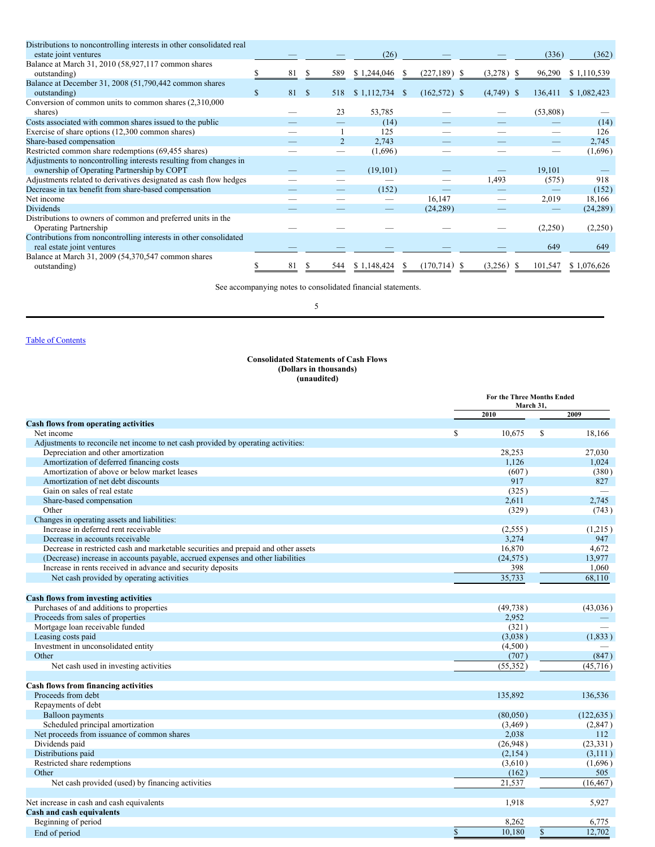| Distributions to noncontrolling interests in other consolidated real                            |               |    |      |                |             |    |                    |              |          |             |
|-------------------------------------------------------------------------------------------------|---------------|----|------|----------------|-------------|----|--------------------|--------------|----------|-------------|
| estate joint ventures                                                                           |               |    |      |                | (26)        |    |                    |              | (336)    | (362)       |
| Balance at March 31, 2010 (58,927,117 common shares                                             |               |    |      |                |             |    |                    |              |          |             |
| outstanding)                                                                                    |               | 81 |      | 589            | \$1,244,046 | Ъ  | (227, 189)<br>- 25 | (3,278)<br>S | 96,290   | \$1,110,539 |
| Balance at December 31, 2008 (51,790,442 common shares                                          |               |    |      |                |             |    |                    |              |          |             |
| outstanding)                                                                                    | <sup>\$</sup> | 81 | - \$ | 518            | \$1,112,734 | -8 | $(162, 572)$ \$    | $(4,749)$ \$ | 136,411  | \$1,082,423 |
| Conversion of common units to common shares (2,310,000)                                         |               |    |      |                |             |    |                    |              |          |             |
| shares)                                                                                         |               |    |      | 23             | 53,785      |    |                    |              | (53,808) |             |
| Costs associated with common shares issued to the public                                        |               |    |      |                | (14)        |    |                    |              |          | (14)        |
| Exercise of share options (12,300 common shares)                                                |               |    |      |                | 125         |    |                    |              |          | 126         |
| Share-based compensation                                                                        |               |    |      | $\overline{2}$ | 2,743       |    |                    |              |          | 2,745       |
| Restricted common share redemptions (69,455 shares)                                             |               |    |      |                | (1,696)     |    |                    |              |          | (1,696)     |
| Adjustments to noncontrolling interests resulting from changes in                               |               |    |      |                |             |    |                    |              |          |             |
| ownership of Operating Partnership by COPT                                                      |               |    |      |                | (19, 101)   |    |                    |              | 19,101   |             |
| Adjustments related to derivatives designated as cash flow hedges                               |               |    |      |                |             |    |                    | 1,493        | (575)    | 918         |
| Decrease in tax benefit from share-based compensation                                           |               |    |      |                | (152)       |    |                    |              |          | (152)       |
| Net income                                                                                      |               |    |      |                |             |    | 16,147             |              | 2,019    | 18,166      |
| <b>Dividends</b>                                                                                |               |    |      |                |             |    | (24, 289)          |              |          | (24, 289)   |
| Distributions to owners of common and preferred units in the                                    |               |    |      |                |             |    |                    |              |          |             |
| <b>Operating Partnership</b>                                                                    |               |    |      |                |             |    |                    |              | (2,250)  | (2,250)     |
| Contributions from noncontrolling interests in other consolidated<br>real estate joint ventures |               |    |      |                |             |    |                    |              | 649      | 649         |
| Balance at March 31, 2009 (54,370,547 common shares                                             |               |    |      |                |             |    |                    |              |          |             |
| outstanding)                                                                                    |               | 81 |      | 544            | \$1.148.424 |    | (170, 714)<br>-8   | (3,256)      | 101,547  | \$1,076,626 |

See accompanying notes to consolidated financial statements.

<span id="page-3-0"></span>5

Table of [Contents](#page-0-0)

#### **Consolidated Statements of Cash Flows (Dollars in thousands) (unaudited)**

|                                                                                    |              | <b>For the Three Months Ended</b><br>March 31, |                       |  |
|------------------------------------------------------------------------------------|--------------|------------------------------------------------|-----------------------|--|
|                                                                                    |              | 2010                                           | 2009                  |  |
| <b>Cash flows from operating activities</b>                                        |              |                                                |                       |  |
| Net income                                                                         | \$           | 10,675                                         | \$<br>18,166          |  |
| Adjustments to reconcile net income to net cash provided by operating activities:  |              |                                                |                       |  |
| Depreciation and other amortization                                                |              | 28,253                                         | 27,030                |  |
| Amortization of deferred financing costs                                           |              | 1,126                                          | 1,024                 |  |
| Amortization of above or below market leases                                       |              | (607)                                          | (380)                 |  |
| Amortization of net debt discounts                                                 |              | 917                                            | 827                   |  |
| Gain on sales of real estate                                                       |              | (325)                                          |                       |  |
| Share-based compensation                                                           |              | 2,611                                          | 2,745                 |  |
| Other                                                                              |              | (329)                                          | (743)                 |  |
| Changes in operating assets and liabilities:                                       |              |                                                |                       |  |
| Increase in deferred rent receivable                                               |              | (2, 555)                                       | (1,215)               |  |
| Decrease in accounts receivable                                                    |              | 3,274                                          | 947                   |  |
| Decrease in restricted cash and marketable securities and prepaid and other assets |              | 16,870                                         | 4,672                 |  |
| (Decrease) increase in accounts payable, accrued expenses and other liabilities    |              | (24, 575)                                      | 13,977                |  |
| Increase in rents received in advance and security deposits                        |              | 398                                            | 1,060                 |  |
| Net cash provided by operating activities                                          |              | 35.733                                         | 68,110                |  |
| <b>Cash flows from investing activities</b>                                        |              |                                                |                       |  |
| Purchases of and additions to properties                                           |              | (49, 738)                                      | (43,036)              |  |
| Proceeds from sales of properties                                                  |              | 2,952                                          |                       |  |
| Mortgage loan receivable funded                                                    |              | (321)                                          |                       |  |
| Leasing costs paid                                                                 |              | (3,038)                                        | (1,833)               |  |
| Investment in unconsolidated entity                                                |              | (4,500)                                        |                       |  |
| Other                                                                              |              | (707)                                          | (847)                 |  |
| Net cash used in investing activities                                              |              | (55,352)                                       | (45,716)              |  |
| Cash flows from financing activities                                               |              |                                                |                       |  |
| Proceeds from debt                                                                 |              | 135,892                                        | 136,536               |  |
| Repayments of debt                                                                 |              |                                                |                       |  |
| <b>Balloon</b> payments                                                            |              | (80,050)                                       | (122, 635)            |  |
| Scheduled principal amortization                                                   |              | (3, 469)                                       | (2,847)               |  |
| Net proceeds from issuance of common shares                                        |              | 2,038                                          | 112                   |  |
| Dividends paid                                                                     |              | (26,948)                                       | (23, 331)             |  |
| Distributions paid                                                                 |              | (2,154)                                        | (3,111)               |  |
| Restricted share redemptions                                                       |              | (3,610)                                        | (1,696)               |  |
| Other                                                                              |              | (162)                                          | 505                   |  |
| Net cash provided (used) by financing activities                                   |              | 21,537                                         | (16, 467)             |  |
| Net increase in cash and cash equivalents                                          |              | 1,918                                          | 5,927                 |  |
| <b>Cash and cash equivalents</b>                                                   |              |                                                |                       |  |
| Beginning of period                                                                |              | 8,262                                          | 6,775                 |  |
| End of period                                                                      | $\mathbb{S}$ | 10.180                                         | $\mathbf S$<br>12.702 |  |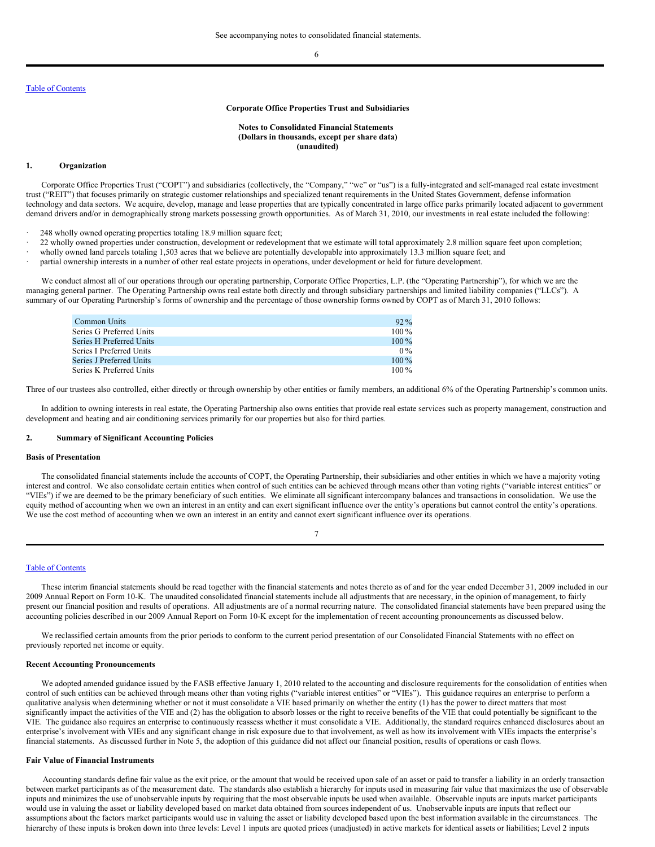<span id="page-4-0"></span>6

#### Table of [Contents](#page-0-0)

#### **Corporate Office Properties Trust and Subsidiaries**

**Notes to Consolidated Financial Statements (Dollars in thousands, except per share data) (unaudited)**

#### **1. Organization**

Corporate Office Properties Trust ("COPT") and subsidiaries (collectively, the "Company," "we" or "us") is a fully-integrated and self-managed real estate investment trust ("REIT") that focuses primarily on strategic customer relationships and specialized tenant requirements in the United States Government, defense information technology and data sectors. We acquire, develop, manage and lease properties that are typically concentrated in large office parks primarily located adjacent to government demand drivers and/or in demographically strong markets possessing growth opportunities. As of March 31, 2010, our investments in real estate included the following:

- 248 wholly owned operating properties totaling 18.9 million square feet;
- · 22 wholly owned properties under construction, development or redevelopment that we estimate will total approximately 2.8 million square feet upon completion;
- wholly owned land parcels totaling 1,503 acres that we believe are potentially developable into approximately 13.3 million square feet; and
- partial ownership interests in a number of other real estate projects in operations, under development or held for future development.

We conduct almost all of our operations through our operating partnership, Corporate Office Properties, L.P. (the "Operating Partnership"), for which we are the managing general partner. The Operating Partnership owns real estate both directly and through subsidiary partnerships and limited liability companies ("LLCs"). A summary of our Operating Partnership's forms of ownership and the percentage of those ownership forms owned by COPT as of March 31, 2010 follows:

| Common Units             | $92\%$  |
|--------------------------|---------|
| Series G Preferred Units | $100\%$ |
| Series H Preferred Units | $100\%$ |
| Series I Preferred Units | $0\%$   |
| Series J Preferred Units | $100\%$ |
| Series K Preferred Units | $100\%$ |

Three of our trustees also controlled, either directly or through ownership by other entities or family members, an additional 6% of the Operating Partnership's common units.

In addition to owning interests in real estate, the Operating Partnership also owns entities that provide real estate services such as property management, construction and development and heating and air conditioning services primarily for our properties but also for third parties.

#### **2. Summary of Significant Accounting Policies**

#### **Basis of Presentation**

The consolidated financial statements include the accounts of COPT, the Operating Partnership, their subsidiaries and other entities in which we have a majority voting interest and control. We also consolidate certain entities when control of such entities can be achieved through means other than voting rights ("variable interest entities" or "VIEs") if we are deemed to be the primary beneficiary of such entities. We eliminate all significant intercompany balances and transactions in consolidation. We use the equity method of accounting when we own an interest in an entity and can exert significant influence over the entity's operations but cannot control the entity's operations. We use the cost method of accounting when we own an interest in an entity and cannot exert significant influence over its operations.

# 7

# Table of [Contents](#page-0-0)

These interim financial statements should be read together with the financial statements and notes thereto as of and for the year ended December 31, 2009 included in our 2009 Annual Report on Form 10-K. The unaudited consolidated financial statements include all adjustments that are necessary, in the opinion of management, to fairly present our financial position and results of operations. All adjustments are of a normal recurring nature. The consolidated financial statements have been prepared using the accounting policies described in our 2009 Annual Report on Form 10-K except for the implementation of recent accounting pronouncements as discussed below.

We reclassified certain amounts from the prior periods to conform to the current period presentation of our Consolidated Financial Statements with no effect on previously reported net income or equity.

# **Recent Accounting Pronouncements**

We adopted amended guidance issued by the FASB effective January 1, 2010 related to the accounting and disclosure requirements for the consolidation of entities when control of such entities can be achieved through means other than voting rights ("variable interest entities" or "VIEs"). This guidance requires an enterprise to perform a qualitative analysis when determining whether or not it must consolidate a VIE based primarily on whether the entity (1) has the power to direct matters that most significantly impact the activities of the VIE and (2) has the obligation to absorb losses or the right to receive benefits of the VIE that could potentially be significant to the VIE. The guidance also requires an enterprise to continuously reassess whether it must consolidate a VIE. Additionally, the standard requires enhanced disclosures about an enterprise's involvement with VIEs and any significant change in risk exposure due to that involvement, as well as how its involvement with VIEs impacts the enterprise's financial statements. As discussed further in Note 5, the adoption of this guidance did not affect our financial position, results of operations or cash flows.

# **Fair Value of Financial Instruments**

Accounting standards define fair value as the exit price, or the amount that would be received upon sale of an asset or paid to transfer a liability in an orderly transaction between market participants as of the measurement date. The standards also establish a hierarchy for inputs used in measuring fair value that maximizes the use of observable inputs and minimizes the use of unobservable inputs by requiring that the most observable inputs be used when available. Observable inputs are inputs market participants would use in valuing the asset or liability developed based on market data obtained from sources independent of us. Unobservable inputs are inputs that reflect our assumptions about the factors market participants would use in valuing the asset or liability developed based upon the best information available in the circumstances. The hierarchy of these inputs is broken down into three levels: Level 1 inputs are quoted prices (unadjusted) in active markets for identical assets or liabilities; Level 2 inputs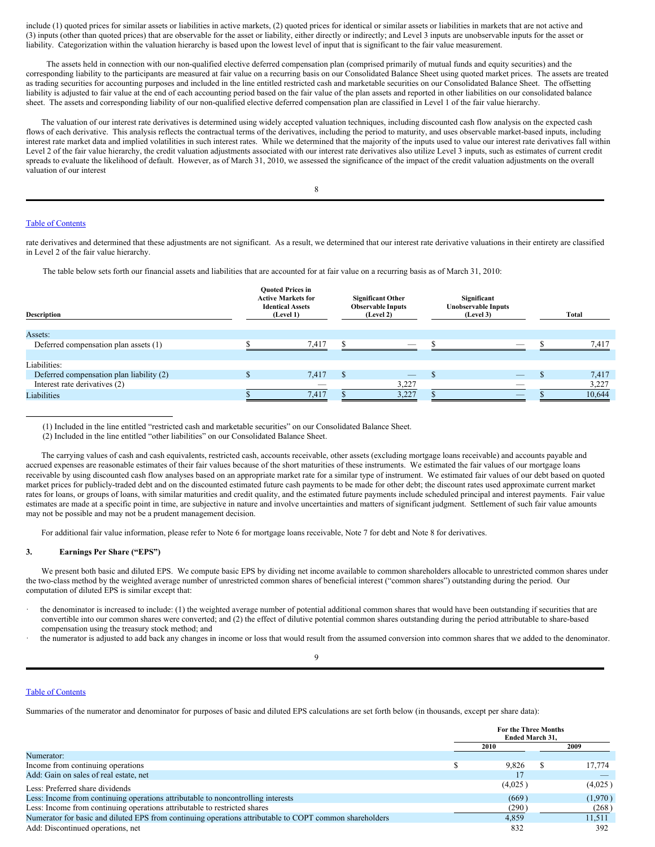include (1) quoted prices for similar assets or liabilities in active markets, (2) quoted prices for identical or similar assets or liabilities in markets that are not active and (3) inputs (other than quoted prices) that are observable for the asset or liability, either directly or indirectly; and Level 3 inputs are unobservable inputs for the asset or liability. Categorization within the valuation hierarchy is based upon the lowest level of input that is significant to the fair value measurement.

The assets held in connection with our non-qualified elective deferred compensation plan (comprised primarily of mutual funds and equity securities) and the corresponding liability to the participants are measured at fair value on a recurring basis on our Consolidated Balance Sheet using quoted market prices. The assets are treated as trading securities for accounting purposes and included in the line entitled restricted cash and marketable securities on our Consolidated Balance Sheet. The offsetting liability is adjusted to fair value at the end of each accounting period based on the fair value of the plan assets and reported in other liabilities on our consolidated balance sheet. The assets and corresponding liability of our non-qualified elective deferred compensation plan are classified in Level 1 of the fair value hierarchy.

The valuation of our interest rate derivatives is determined using widely accepted valuation techniques, including discounted cash flow analysis on the expected cash flows of each derivative. This analysis reflects the contractual terms of the derivatives, including the period to maturity, and uses observable market-based inputs, including interest rate market data and implied volatilities in such interest rates. While we determined that the majority of the inputs used to value our interest rate derivatives fall within Level 2 of the fair value hierarchy, the credit valuation adjustments associated with our interest rate derivatives also utilize Level 3 inputs, such as estimates of current credit spreads to evaluate the likelihood of default. However, as of March 31, 2010, we assessed the significance of the impact of the credit valuation adjustments on the overall valuation of our interest

# Table of [Contents](#page-0-0)

rate derivatives and determined that these adjustments are not significant. As a result, we determined that our interest rate derivative valuations in their entirety are classified in Level 2 of the fair value hierarchy.

The table below sets forth our financial assets and liabilities that are accounted for at fair value on a recurring basis as of March 31, 2010:

| Description                              | <b>Ouoted Prices in</b><br><b>Active Markets for</b><br><b>Identical Assets</b><br>(Level 1) |    | <b>Significant Other</b><br><b>Observable Inputs</b><br>(Level 2) | Significant<br><b>Unobservable Inputs</b><br>(Level 3) | Total  |
|------------------------------------------|----------------------------------------------------------------------------------------------|----|-------------------------------------------------------------------|--------------------------------------------------------|--------|
| Assets:                                  |                                                                                              |    |                                                                   |                                                        |        |
| Deferred compensation plan assets (1)    | 7,417                                                                                        |    | $\overline{\phantom{a}}$                                          | $\overline{\phantom{a}}$                               | 7,417  |
|                                          |                                                                                              |    |                                                                   |                                                        |        |
| Liabilities:                             |                                                                                              |    |                                                                   |                                                        |        |
| Deferred compensation plan liability (2) | 7,417                                                                                        | -S |                                                                   |                                                        | 7,417  |
| Interest rate derivatives (2)            |                                                                                              |    | 3,227                                                             |                                                        | 3,227  |
| Liabilities                              | 7.417                                                                                        |    | 3.227                                                             | $-$                                                    | 10.644 |
|                                          |                                                                                              |    |                                                                   |                                                        |        |

(1) Included in the line entitled "restricted cash and marketable securities" on our Consolidated Balance Sheet.

(2) Included in the line entitled "other liabilities" on our Consolidated Balance Sheet.

The carrying values of cash and cash equivalents, restricted cash, accounts receivable, other assets (excluding mortgage loans receivable) and accounts payable and accrued expenses are reasonable estimates of their fair values because of the short maturities of these instruments. We estimated the fair values of our mortgage loans receivable by using discounted cash flow analyses based on an appropriate market rate for a similar type of instrument. We estimated fair values of our debt based on quoted market prices for publicly-traded debt and on the discounted estimated future cash payments to be made for other debt; the discount rates used approximate current market rates for loans, or groups of loans, with similar maturities and credit quality, and the estimated future payments include scheduled principal and interest payments. Fair value estimates are made at a specific point in time, are subjective in nature and involve uncertainties and matters of significant judgment. Settlement of such fair value amounts may not be possible and may not be a prudent management decision.

For additional fair value information, please refer to Note 6 for mortgage loans receivable, Note 7 for debt and Note 8 for derivatives.

# **3. Earnings Per Share ("EPS")**

We present both basic and diluted EPS. We compute basic EPS by dividing net income available to common shareholders allocable to unrestricted common shares under the two-class method by the weighted average number of unrestricted common shares of beneficial interest ("common shares") outstanding during the period. Our computation of diluted EPS is similar except that:

- the denominator is increased to include: (1) the weighted average number of potential additional common shares that would have been outstanding if securities that are convertible into our common shares were converted; and (2) the effect of dilutive potential common shares outstanding during the period attributable to share-based compensation using the treasury stock method; and
- the numerator is adjusted to add back any changes in income or loss that would result from the assumed conversion into common shares that we added to the denominator. 9

# Table of [Contents](#page-0-0)

Summaries of the numerator and denominator for purposes of basic and diluted EPS calculations are set forth below (in thousands, except per share data):

|                                                                                                         | <b>For the Three Months</b><br>Ended March 31, |         |     |         |
|---------------------------------------------------------------------------------------------------------|------------------------------------------------|---------|-----|---------|
|                                                                                                         |                                                | 2010    |     | 2009    |
| Numerator:                                                                                              |                                                |         |     |         |
| Income from continuing operations                                                                       |                                                | 9,826   | \$. | 17,774  |
| Add: Gain on sales of real estate, net                                                                  |                                                |         |     |         |
| Less: Preferred share dividends                                                                         |                                                | (4,025) |     | (4,025) |
| Less: Income from continuing operations attributable to noncontrolling interests                        |                                                | (669)   |     | (1,970) |
| Less: Income from continuing operations attributable to restricted shares                               |                                                | (290)   |     | (268)   |
| Numerator for basic and diluted EPS from continuing operations attributable to COPT common shareholders |                                                | 4.859   |     | 11.511  |
| Add: Discontinued operations, net                                                                       |                                                | 832     |     | 392     |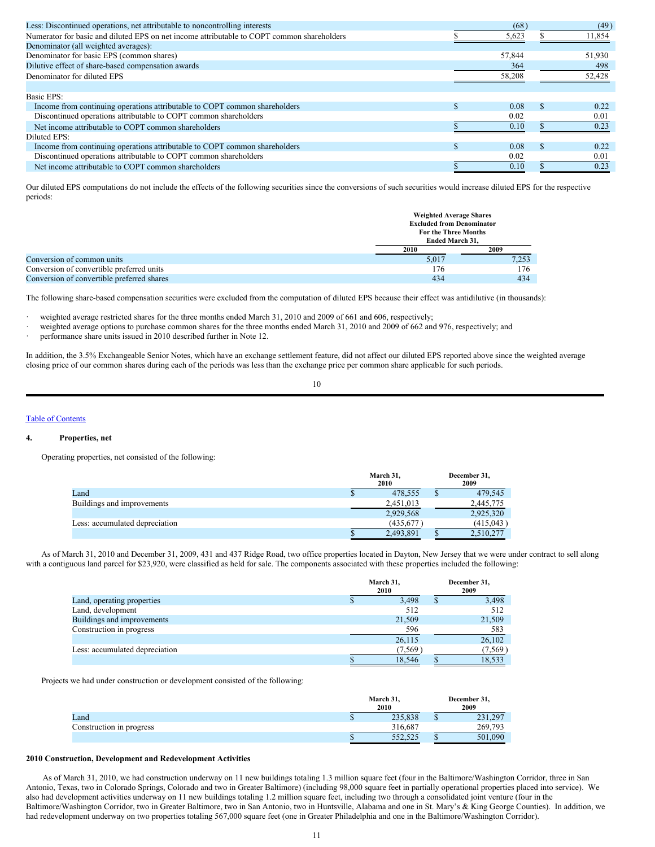| Less: Discontinued operations, net attributable to noncontrolling interests                | (68)   | (49)   |
|--------------------------------------------------------------------------------------------|--------|--------|
| Numerator for basic and diluted EPS on net income attributable to COPT common shareholders | 5,623  | 11,854 |
| Denominator (all weighted averages):                                                       |        |        |
| Denominator for basic EPS (common shares)                                                  | 57,844 | 51,930 |
| Dilutive effect of share-based compensation awards                                         | 364    | 498    |
| Denominator for diluted EPS                                                                | 58,208 | 52,428 |
|                                                                                            |        |        |
| Basic EPS:                                                                                 |        |        |
| Income from continuing operations attributable to COPT common shareholders                 | 0.08   | 0.22   |
| Discontinued operations attributable to COPT common shareholders                           | 0.02   | 0.01   |
| Net income attributable to COPT common shareholders                                        | 0.10   | 0.23   |
| Diluted EPS:                                                                               |        |        |
| Income from continuing operations attributable to COPT common shareholders                 | 0.08   | 0.22   |
| Discontinued operations attributable to COPT common shareholders                           | 0.02   | 0.01   |
| Net income attributable to COPT common shareholders                                        | 0.10   | 0.23   |
|                                                                                            |        |        |

Our diluted EPS computations do not include the effects of the following securities since the conversions of such securities would increase diluted EPS for the respective periods:

|                                            | <b>Weighted Average Shares</b><br><b>Excluded from Denominator</b><br><b>For the Three Months</b><br><b>Ended March 31.</b> |       |
|--------------------------------------------|-----------------------------------------------------------------------------------------------------------------------------|-------|
|                                            | 2010                                                                                                                        | 2009  |
| Conversion of common units                 | 5,017                                                                                                                       | 7.253 |
| Conversion of convertible preferred units  | 176                                                                                                                         | 176   |
| Conversion of convertible preferred shares | 434                                                                                                                         | 434   |

The following share-based compensation securities were excluded from the computation of diluted EPS because their effect was antidilutive (in thousands):

weighted average restricted shares for the three months ended March 31, 2010 and 2009 of 661 and 606, respectively;

weighted average options to purchase common shares for the three months ended March 31, 2010 and 2009 of 662 and 976, respectively; and

performance share units issued in 2010 described further in Note 12.

In addition, the 3.5% Exchangeable Senior Notes, which have an exchange settlement feature, did not affect our diluted EPS reported above since the weighted average closing price of our common shares during each of the periods was less than the exchange price per common share applicable for such periods.

# Table of [Contents](#page-0-0)

# **4. Properties, net**

Operating properties, net consisted of the following:

|                                | March 31,<br>2010 |  |           |  |
|--------------------------------|-------------------|--|-----------|--|
| Land                           | 478.555           |  | 479,545   |  |
| Buildings and improvements     | 2,451,013         |  | 2,445,775 |  |
|                                | 2,929,568         |  | 2,925,320 |  |
| Less: accumulated depreciation | (435,677)         |  | (415,043) |  |
|                                | 2,493,891         |  | 2,510,277 |  |

As of March 31, 2010 and December 31, 2009, 431 and 437 Ridge Road, two office properties located in Dayton, New Jersey that we were under contract to sell along with a contiguous land parcel for \$23,920, were classified as held for sale. The components associated with these properties included the following:

|                                | March 31,<br>2010 |   |         |  |  |
|--------------------------------|-------------------|---|---------|--|--|
| Land, operating properties     | 3,498             | S | 3,498   |  |  |
| Land, development              | 512               |   | 512     |  |  |
| Buildings and improvements     | 21,509            |   | 21,509  |  |  |
| Construction in progress       | 596               |   | 583     |  |  |
|                                | 26,115            |   | 26,102  |  |  |
| Less: accumulated depreciation | (7, 569)          |   | (7,569) |  |  |
|                                | 18.546            |   | 18,533  |  |  |

Projects we had under construction or development consisted of the following:

|                          |  | March 31,<br>2010 |             | December 31,<br>2009 |
|--------------------------|--|-------------------|-------------|----------------------|
| Land                     |  | 235,838           | $\triangle$ | 231.297              |
| Construction in progress |  | 316,687           |             | 269,793              |
|                          |  | 552.525           | $\triangle$ | 501,090              |

#### **2010 Construction, Development and Redevelopment Activities**

As of March 31, 2010, we had construction underway on 11 new buildings totaling 1.3 million square feet (four in the Baltimore/Washington Corridor, three in San Antonio, Texas, two in Colorado Springs, Colorado and two in Greater Baltimore) (including 98,000 square feet in partially operational properties placed into service). We also had development activities underway on 11 new buildings totaling 1.2 million square feet, including two through a consolidated joint venture (four in the Baltimore/Washington Corridor, two in Greater Baltimore, two in San Antonio, two in Huntsville, Alabama and one in St. Mary's & King George Counties). In addition, we had redevelopment underway on two properties totaling 567,000 square feet (one in Greater Philadelphia and one in the Baltimore/Washington Corridor).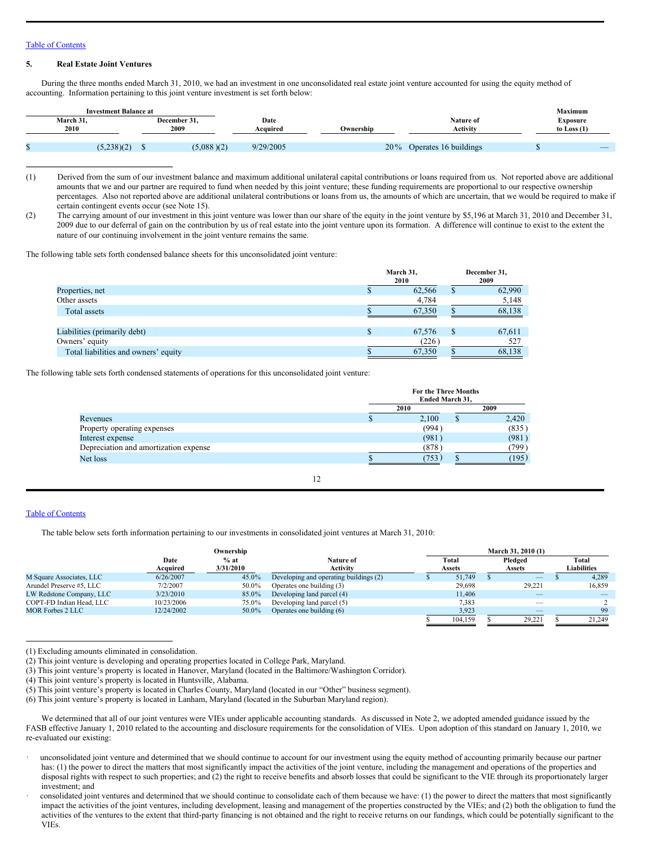# Table of [Contents](#page-0-0)

# **5. Real Estate Joint Ventures**

During the three months ended March 31, 2010, we had an investment in one unconsolidated real estate joint venture accounted for using the equity method of accounting. Information pertaining to this joint venture investment is set forth below:

| <b>Investment Balance at</b> |                      |                  |           |                       | Maximum                   |
|------------------------------|----------------------|------------------|-----------|-----------------------|---------------------------|
| March 31,<br>2010            | December 31,<br>2009 | Date<br>Acquired | Ownership | Nature of<br>Activity | Exposure<br>to Loss $(1)$ |
| (5,238)(2)                   | (5,088)(2)           | 9/29/2005        | 20%       | Operates 16 buildings | $\overline{\phantom{a}}$  |

(1) Derived from the sum of our investment balance and maximum additional unilateral capital contributions or loans required from us. Not reported above are additional amounts that we and our partner are required to fund when needed by this joint venture; these funding requirements are proportional to our respective ownership percentages. Also not reported above are additional unilateral contributions or loans from us, the amounts of which are uncertain, that we would be required to make if certain contingent events occur (see Note 15).

(2) The carrying amount of our investment in this joint venture was lower than our share of the equity in the joint venture by \$5,196 at March 31, 2010 and December 31, 2009 due to our deferral of gain on the contribution by us of real estate into the joint venture upon its formation. A difference will continue to exist to the extent the nature of our continuing involvement in the joint venture remains the same.

The following table sets forth condensed balance sheets for this unconsolidated joint venture:

|                                      | March 31. | December 31,<br>2009 |   |        |
|--------------------------------------|-----------|----------------------|---|--------|
| Properties, net                      |           | 62,566               |   | 62,990 |
| Other assets                         |           | 4,784                |   | 5,148  |
| Total assets                         |           | 67,350               |   | 68,138 |
| Liabilities (primarily debt)         |           | 67,576               | S | 67,611 |
| Owners' equity                       |           | (226)                |   | 527    |
| Total liabilities and owners' equity |           | 67,350               |   | 68,138 |

The following table sets forth condensed statements of operations for this unconsolidated joint venture:

|                                       | <b>For the Three Months</b><br><b>Ended March 31.</b> |       |
|---------------------------------------|-------------------------------------------------------|-------|
|                                       | 2010                                                  | 2009  |
| Revenues                              | 2,100                                                 | 2,420 |
| Property operating expenses           | (994)                                                 | (835) |
| Interest expense                      | (981)                                                 | (981) |
| Depreciation and amortization expense | (878)                                                 | (799) |
| Net loss                              | 753                                                   | (195) |

# Table of [Contents](#page-0-0)

The table below sets forth information pertaining to our investments in consolidated joint ventures at March 31, 2010:

| Ownership                |                  |                     |                                        |  |                        | March 31, 2010 (1)       |                             |
|--------------------------|------------------|---------------------|----------------------------------------|--|------------------------|--------------------------|-----------------------------|
|                          | Date<br>Acquired | $%$ at<br>3/31/2010 | Nature of<br><b>Activity</b>           |  | Total<br><b>Assets</b> | Pledged<br><b>Assets</b> | Total<br><b>Liabilities</b> |
| M Square Associates, LLC | 6/26/2007        | 45.0%               | Developing and operating buildings (2) |  | 51,749                 |                          | 4.289                       |
| Arundel Preserve #5, LLC | 7/2/2007         | 50.0%               | Operates one building (3)              |  | 29,698                 | 29.221                   | 16,859                      |
| LW Redstone Company, LLC | 3/23/2010        | 85.0%               | Developing land parcel (4)             |  | 11,406                 | __                       |                             |
| COPT-FD Indian Head, LLC | 10/23/2006       | 75.0%               | Developing land parcel (5)             |  | 7,383                  | $\overline{\phantom{a}}$ |                             |
| <b>MOR Forbes 2 LLC</b>  | 12/24/2002       | 50.0%               | Operates one building $(6)$            |  | 3,923                  |                          | 99                          |
|                          |                  |                     |                                        |  | 104.159                | 29.221                   | 21,249                      |

<sup>(1)</sup> Excluding amounts eliminated in consolidation.

We determined that all of our joint ventures were VIEs under applicable accounting standards. As discussed in Note 2, we adopted amended guidance issued by the FASB effective January 1, 2010 related to the accounting and disclosure requirements for the consolidation of VIEs. Upon adoption of this standard on January 1, 2010, we re-evaluated our existing:

<sup>(2)</sup> This joint venture is developing and operating properties located in College Park, Maryland.

<sup>(3)</sup> This joint venture's property is located in Hanover, Maryland (located in the Baltimore/Washington Corridor).

<sup>(4)</sup> This joint venture's property is located in Huntsville, Alabama.

<sup>(5)</sup> This joint venture's property is located in Charles County, Maryland (located in our "Other" business segment).

<sup>(6)</sup> This joint venture's property is located in Lanham, Maryland (located in the Suburban Maryland region).

<sup>·</sup> unconsolidated joint venture and determined that we should continue to account for our investment using the equity method of accounting primarily because our partner has: (1) the power to direct the matters that most significantly impact the activities of the joint venture, including the management and operations of the properties and disposal rights with respect to such properties; and (2) the right to receive benefits and absorb losses that could be significant to the VIE through its proportionately larger investment; and

<sup>·</sup> consolidated joint ventures and determined that we should continue to consolidate each of them because we have: (1) the power to direct the matters that most significantly impact the activities of the joint ventures, including development, leasing and management of the properties constructed by the VIEs; and (2) both the obligation to fund the activities of the ventures to the extent that third-party financing is not obtained and the right to receive returns on our fundings, which could be potentially significant to the VIEs.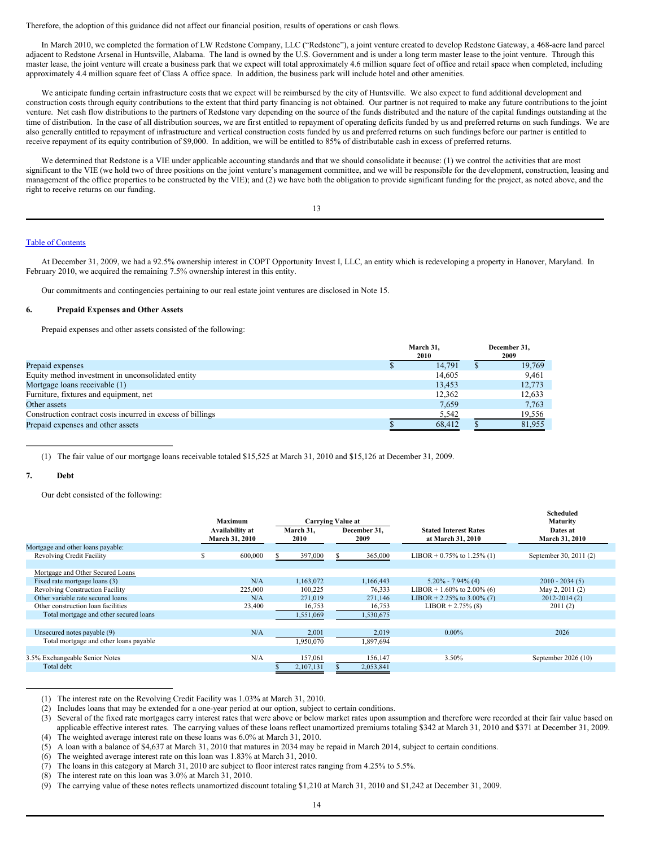Therefore, the adoption of this guidance did not affect our financial position, results of operations or cash flows.

In March 2010, we completed the formation of LW Redstone Company, LLC ("Redstone"), a joint venture created to develop Redstone Gateway, a 468-acre land parcel adjacent to Redstone Arsenal in Huntsville, Alabama. The land is owned by the U.S. Government and is under a long term master lease to the joint venture. Through this master lease, the joint venture will create a business park that we expect will total approximately 4.6 million square feet of office and retail space when completed, including approximately 4.4 million square feet of Class A office space. In addition, the business park will include hotel and other amenities.

We anticipate funding certain infrastructure costs that we expect will be reimbursed by the city of Huntsville. We also expect to fund additional development and construction costs through equity contributions to the extent that third party financing is not obtained. Our partner is not required to make any future contributions to the joint venture. Net cash flow distributions to the partners of Redstone vary depending on the source of the funds distributed and the nature of the capital fundings outstanding at the time of distribution. In the case of all distribution sources, we are first entitled to repayment of operating deficits funded by us and preferred returns on such fundings. We are also generally entitled to repayment of infrastructure and vertical construction costs funded by us and preferred returns on such fundings before our partner is entitled to receive repayment of its equity contribution of \$9,000. In addition, we will be entitled to 85% of distributable cash in excess of preferred returns.

We determined that Redstone is a VIE under applicable accounting standards and that we should consolidate it because: (1) we control the activities that are most significant to the VIE (we hold two of three positions on the joint venture's management committee, and we will be responsible for the development, construction, leasing and management of the office properties to be constructed by the VIE); and (2) we have both the obligation to provide significant funding for the project, as noted above, and the right to receive returns on our funding.

| ۰,           |
|--------------|
| I<br>×<br>۰. |

#### Table of [Contents](#page-0-0)

At December 31, 2009, we had a 92.5% ownership interest in COPT Opportunity Invest I, LLC, an entity which is redeveloping a property in Hanover, Maryland. In February 2010, we acquired the remaining 7.5% ownership interest in this entity.

Our commitments and contingencies pertaining to our real estate joint ventures are disclosed in Note 15.

# **6. Prepaid Expenses and Other Assets**

Prepaid expenses and other assets consisted of the following:

|                                                            | March 31,<br>2010 |        | December 31,<br>2009 |        |  |
|------------------------------------------------------------|-------------------|--------|----------------------|--------|--|
| Prepaid expenses                                           |                   | 14.791 |                      | 19.769 |  |
| Equity method investment in unconsolidated entity          |                   | 14.605 |                      | 9.461  |  |
| Mortgage loans receivable (1)                              |                   | 13.453 |                      | 12.773 |  |
| Furniture, fixtures and equipment, net                     |                   | 12.362 |                      | 12.633 |  |
| Other assets                                               |                   | 7.659  |                      | 7.763  |  |
| Construction contract costs incurred in excess of billings |                   | 5.542  |                      | 19,556 |  |
| Prepaid expenses and other assets                          |                   | 68.412 |                      | 81,955 |  |

(1) The fair value of our mortgage loans receivable totaled \$15,525 at March 31, 2010 and \$15,126 at December 31, 2009.

# **7. Debt**

Our debt consisted of the following:

|                                        | <b>Maximum</b>                           |        |               | Carrying Value at |    |                      |                                                   | <b>Scheduled</b><br>Maturity      |
|----------------------------------------|------------------------------------------|--------|---------------|-------------------|----|----------------------|---------------------------------------------------|-----------------------------------|
|                                        | Availability at<br><b>March 31, 2010</b> |        |               | March 31.<br>2010 |    | December 31.<br>2009 | <b>Stated Interest Rates</b><br>at March 31, 2010 | Dates at<br><b>March 31, 2010</b> |
| Mortgage and other loans payable:      |                                          |        |               |                   |    |                      |                                                   |                                   |
| Revolving Credit Facility              | S<br>600,000                             |        | $\mathcal{L}$ | 397,000           | Ж. | 365,000              | LIBOR + 0.75% to 1.25% (1)                        | September 30, 2011 (2)            |
|                                        |                                          |        |               |                   |    |                      |                                                   |                                   |
| Mortgage and Other Secured Loans       |                                          |        |               |                   |    |                      |                                                   |                                   |
| Fixed rate mortgage loans (3)          |                                          | N/A    |               | 1,163,072         |    | 1,166,443            | $5.20\% - 7.94\%$ (4)                             | $2010 - 2034(5)$                  |
| <b>Revolving Construction Facility</b> | 225,000                                  |        |               | 100,225           |    | 76,333               | LIBOR + 1.60% to 2.00% (6)                        | May 2, 2011 (2)                   |
| Other variable rate secured loans      |                                          | N/A    |               | 271,019           |    | 271.146              | LIBOR + 2.25% to 3.00% (7)                        | $2012 - 2014(2)$                  |
| Other construction loan facilities     |                                          | 23,400 |               | 16,753            |    | 16,753               | $LIBOR + 2.75\%$ (8)                              | 2011(2)                           |
| Total mortgage and other secured loans |                                          |        |               | 1,551,069         |    | 1,530,675            |                                                   |                                   |
|                                        |                                          |        |               |                   |    |                      |                                                   |                                   |
| Unsecured notes payable (9)            |                                          | N/A    |               | 2,001             |    | 2,019                | $0.00\%$                                          | 2026                              |
| Total mortgage and other loans payable |                                          |        |               | 1,950,070         |    | 1,897,694            |                                                   |                                   |
|                                        |                                          |        |               |                   |    |                      |                                                   |                                   |
| 3.5% Exchangeable Senior Notes         |                                          | N/A    |               | 157,061           |    | 156,147              | 3.50%                                             | September 2026 (10)               |
| Total debt                             |                                          |        |               | 2,107,131         |    | 2,053,841            |                                                   |                                   |
|                                        |                                          |        |               |                   |    |                      |                                                   |                                   |

(1) The interest rate on the Revolving Credit Facility was 1.03% at March 31, 2010.

(6) The weighted average interest rate on this loan was 1.83% at March 31, 2010.

<sup>(2)</sup> Includes loans that may be extended for a one-year period at our option, subject to certain conditions.

<sup>(3)</sup> Several of the fixed rate mortgages carry interest rates that were above or below market rates upon assumption and therefore were recorded at their fair value based on applicable effective interest rates. The carrying values of these loans reflect unamortized premiums totaling \$342 at March 31, 2010 and \$371 at December 31, 2009. (4) The weighted average interest rate on these loans was 6.0% at March 31, 2010.

<sup>(5)</sup> A loan with a balance of \$4,637 at March 31, 2010 that matures in 2034 may be repaid in March 2014, subject to certain conditions.

<sup>(7)</sup> The loans in this category at March 31, 2010 are subject to floor interest rates ranging from 4.25% to 5.5%.

<sup>(8)</sup> The interest rate on this loan was 3.0% at March 31, 2010.

<sup>(9)</sup> The carrying value of these notes reflects unamortized discount totaling \$1,210 at March 31, 2010 and \$1,242 at December 31, 2009.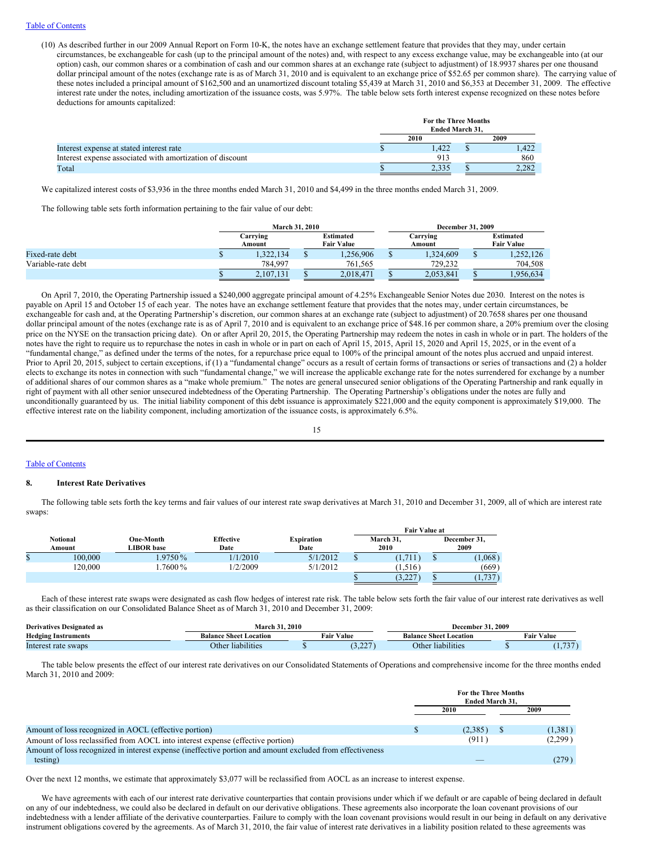(10) As described further in our 2009 Annual Report on Form 10-K, the notes have an exchange settlement feature that provides that they may, under certain circumstances, be exchangeable for cash (up to the principal amount of the notes) and, with respect to any excess exchange value, may be exchangeable into (at our option) cash, our common shares or a combination of cash and our common shares at an exchange rate (subject to adjustment) of 18.9937 shares per one thousand dollar principal amount of the notes (exchange rate is as of March 31, 2010 and is equivalent to an exchange price of \$52.65 per common share). The carrying value of these notes included a principal amount of \$162,500 and an unamortized discount totaling \$5,439 at March 31, 2010 and \$6,353 at December 31, 2009. The effective interest rate under the notes, including amortization of the issuance costs, was 5.97%. The table below sets forth interest expense recognized on these notes before deductions for amounts capitalized:

|                                                           | <b>For the Three Months</b><br><b>Ended March 31.</b> |       |
|-----------------------------------------------------------|-------------------------------------------------------|-------|
|                                                           | 2010                                                  | 2009  |
| Interest expense at stated interest rate                  | .422                                                  | .422  |
| Interest expense associated with amortization of discount | 913                                                   | 860   |
| Total                                                     | 2.335                                                 | 2.282 |

We capitalized interest costs of \$3,936 in the three months ended March 31, 2010 and \$4,499 in the three months ended March 31, 2009.

The following table sets forth information pertaining to the fair value of our debt:

|                    |  | <b>March 31, 2010</b> |                                       |           |                    | <b>December 31, 2009</b> |  |                                       |  |  |
|--------------------|--|-----------------------|---------------------------------------|-----------|--------------------|--------------------------|--|---------------------------------------|--|--|
|                    |  | Carrying<br>Amount    | <b>Estimated</b><br><b>Fair Value</b> |           | Carrying<br>Amount |                          |  | <b>Estimated</b><br><b>Fair Value</b> |  |  |
| Fixed-rate debt    |  | 1.322.134             | w                                     | .256,906  |                    | 1.324.609                |  | .252,126                              |  |  |
| Variable-rate debt |  | 784.997               |                                       | 761.565   |                    | 729.232                  |  | 704.508                               |  |  |
|                    |  | 2.107.131             |                                       | 2.018.471 |                    | 2,053,841                |  | .956.634                              |  |  |

On April 7, 2010, the Operating Partnership issued a \$240,000 aggregate principal amount of 4.25% Exchangeable Senior Notes due 2030. Interest on the notes is payable on April 15 and October 15 of each year. The notes have an exchange settlement feature that provides that the notes may, under certain circumstances, be exchangeable for cash and, at the Operating Partnership's discretion, our common shares at an exchange rate (subject to adjustment) of 20.7658 shares per one thousand dollar principal amount of the notes (exchange rate is as of April 7, 2010 and is equivalent to an exchange price of \$48.16 per common share, a 20% premium over the closing price on the NYSE on the transaction pricing date). On or after April 20, 2015, the Operating Partnership may redeem the notes in cash in whole or in part. The holders of the notes have the right to require us to repurchase the notes in cash in whole or in part on each of April 15, 2015, April 15, 2020 and April 15, 2025, or in the event of a "fundamental change," as defined under the terms of the notes, for a repurchase price equal to 100% of the principal amount of the notes plus accrued and unpaid interest. Prior to April 20, 2015, subject to certain exceptions, if (1) a "fundamental change" occurs as a result of certain forms of transactions or series of transactions and (2) a holder elects to exchange its notes in connection with such "fundamental change," we will increase the applicable exchange rate for the notes surrendered for exchange by a number of additional shares of our common shares as a "make whole premium." The notes are general unsecured senior obligations of the Operating Partnership and rank equally in right of payment with all other senior unsecured indebtedness of the Operating Partnership. The Operating Partnership's obligations under the notes are fully and unconditionally guaranteed by us. The initial liability component of this debt issuance is approximately \$221,000 and the equity component is approximately \$19,000. The effective interest rate on the liability component, including amortization of the issuance costs, is approximately 6.5%.

#### 15

# Table of [Contents](#page-0-0)

# **8. Interest Rate Derivatives**

The following table sets forth the key terms and fair values of our interest rate swap derivatives at March 31, 2010 and December 31, 2009, all of which are interest rate swaps:

|                    |         |                                |                          |                           |   | <b>Fair Value at</b> |                      |
|--------------------|---------|--------------------------------|--------------------------|---------------------------|---|----------------------|----------------------|
| Notional<br>Amount |         | One-Month<br><b>LIBOR base</b> | <b>Effective</b><br>Date | <b>Expiration</b><br>Date |   | March 31,<br>2010    | December 31.<br>2009 |
| \$                 | 100,000 | .9750 %                        | 1/1/2010                 | 5/1/2012                  |   | 1.711                | (1,068)              |
|                    | 120,000 | $1.7600\,\%$                   | 1/2/2009                 | 5/1/2012                  |   | (1,516)              | (669)                |
|                    |         |                                |                          |                           | Φ | 3.227                | 1,737                |

Each of these interest rate swaps were designated as cash flow hedges of interest rate risk. The table below sets forth the fair value of our interest rate derivatives as well as their classification on our Consolidated Balance Sheet as of March 31, 2010 and December 31, 2009:

| <b>Derivatives</b><br>Designated as | 2010<br>ch<br>VIZ                |  |                                | . 2009                       |  |                                          |  |  |  |
|-------------------------------------|----------------------------------|--|--------------------------------|------------------------------|--|------------------------------------------|--|--|--|
| <b>Hedging Instruments</b>          | salance Sheet "<br>t Location    |  | $  -$<br>Fair Value            | Sheet<br>Balance<br>Location |  | $  -$<br>$\mathbf{r}$<br>∙ Value<br>Fair |  |  |  |
| Interest rate swaps                 | $\cdots$<br>)ther<br>liabilities |  | $\sim$ $\sim$ $\sim$<br>ستستدر | <br>Othei<br>liabilities     |  | $\blacksquare$<br>1,1                    |  |  |  |

The table below presents the effect of our interest rate derivatives on our Consolidated Statements of Operations and comprehensive income for the three months ended March 31, 2010 and 2009:

|                                                                                                                       | <b>For the Three Months</b><br>Ended March 31. |  |         |  |  |  |
|-----------------------------------------------------------------------------------------------------------------------|------------------------------------------------|--|---------|--|--|--|
|                                                                                                                       | 2010                                           |  | 2009    |  |  |  |
| Amount of loss recognized in AOCL (effective portion)                                                                 | (2,385)                                        |  | (1,381) |  |  |  |
| Amount of loss reclassified from AOCL into interest expense (effective portion)                                       | (911)                                          |  | (2,299) |  |  |  |
| Amount of loss recognized in interest expense (ineffective portion and amount excluded from effectiveness<br>testing) |                                                |  | (279)   |  |  |  |

Over the next 12 months, we estimate that approximately \$3,077 will be reclassified from AOCL as an increase to interest expense.

We have agreements with each of our interest rate derivative counterparties that contain provisions under which if we default or are capable of being declared in default on any of our indebtedness, we could also be declared in default on our derivative obligations. These agreements also incorporate the loan covenant provisions of our indebtedness with a lender affiliate of the derivative counterparties. Failure to comply with the loan covenant provisions would result in our being in default on any derivative instrument obligations covered by the agreements. As of March 31, 2010, the fair value of interest rate derivatives in a liability position related to these agreements was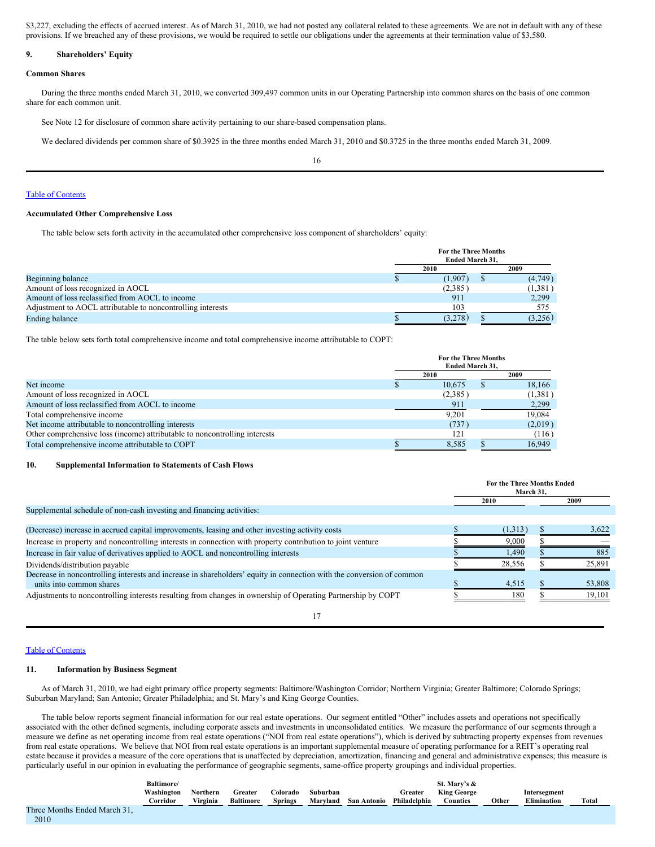\$3,227, excluding the effects of accrued interest. As of March 31, 2010, we had not posted any collateral related to these agreements. We are not in default with any of these provisions. If we breached any of these provisions, we would be required to settle our obligations under the agreements at their termination value of \$3,580.

# **9. Shareholders' Equity**

# **Common Shares**

During the three months ended March 31, 2010, we converted 309,497 common units in our Operating Partnership into common shares on the basis of one common share for each common unit.

See Note 12 for disclosure of common share activity pertaining to our share-based compensation plans.

We declared dividends per common share of \$0.3925 in the three months ended March 31, 2010 and \$0.3725 in the three months ended March 31, 2009.

### Table of [Contents](#page-0-0)

#### **Accumulated Other Comprehensive Loss**

The table below sets forth activity in the accumulated other comprehensive loss component of shareholders' equity:

|                                                             | <b>For the Three Months</b><br><b>Ended March 31.</b> |          |
|-------------------------------------------------------------|-------------------------------------------------------|----------|
|                                                             | 2010                                                  | 2009     |
| Beginning balance                                           | (1,907)                                               | (4,749)  |
| Amount of loss recognized in AOCL                           | (2,385)                                               | (1, 381) |
| Amount of loss reclassified from AOCL to income             | 911                                                   | 2,299    |
| Adjustment to AOCL attributable to noncontrolling interests | 103                                                   | 575      |
| Ending balance                                              | (3,278)                                               | (3,256)  |

The table below sets forth total comprehensive income and total comprehensive income attributable to COPT:

|                                                                            | <b>For the Three Months</b><br><b>Ended March 31.</b> |  |         |  |  |
|----------------------------------------------------------------------------|-------------------------------------------------------|--|---------|--|--|
|                                                                            | 2010                                                  |  | 2009    |  |  |
| Net income                                                                 | 10.675                                                |  | 18,166  |  |  |
| Amount of loss recognized in AOCL                                          | (2,385)                                               |  | (1,381) |  |  |
| Amount of loss reclassified from AOCL to income                            | 911                                                   |  | 2,299   |  |  |
| Total comprehensive income                                                 | 9.201                                                 |  | 19.084  |  |  |
| Net income attributable to noncontrolling interests                        | (737)                                                 |  | (2,019) |  |  |
| Other comprehensive loss (income) attributable to noncontrolling interests | 121                                                   |  | (116)   |  |  |
| Total comprehensive income attributable to COPT                            | 8,585                                                 |  | 16,949  |  |  |

# **10. Supplemental Information to Statements of Cash Flows**

|                                                                                                                       | For the Three Months Ended<br>March 31. |         |  |        |
|-----------------------------------------------------------------------------------------------------------------------|-----------------------------------------|---------|--|--------|
|                                                                                                                       |                                         | 2010    |  | 2009   |
| Supplemental schedule of non-cash investing and financing activities:                                                 |                                         |         |  |        |
|                                                                                                                       |                                         |         |  |        |
| (Decrease) increase in accrued capital improvements, leasing and other investing activity costs                       |                                         | (1,313) |  | 3,622  |
| Increase in property and noncontrolling interests in connection with property contribution to joint venture           |                                         | 9,000   |  |        |
| Increase in fair value of derivatives applied to AOCL and noncontrolling interests                                    |                                         | 1.490   |  | 885    |
| Dividends/distribution payable                                                                                        |                                         | 28,556  |  | 25,891 |
| Decrease in noncontrolling interests and increase in shareholders' equity in connection with the conversion of common |                                         |         |  |        |
| units into common shares                                                                                              |                                         | 4,515   |  | 53,808 |
| Adjustments to noncontrolling interests resulting from changes in ownership of Operating Partnership by COPT          |                                         | 180     |  | 19.101 |
|                                                                                                                       |                                         |         |  |        |

# 17

# Table of [Contents](#page-0-0)

# **11. Information by Business Segment**

As of March 31, 2010, we had eight primary office property segments: Baltimore/Washington Corridor; Northern Virginia; Greater Baltimore; Colorado Springs; Suburban Maryland; San Antonio; Greater Philadelphia; and St. Mary's and King George Counties.

The table below reports segment financial information for our real estate operations. Our segment entitled "Other" includes assets and operations not specifically associated with the other defined segments, including corporate assets and investments in unconsolidated entities. We measure the performance of our segments through a measure we define as net operating income from real estate operations ("NOI from real estate operations"), which is derived by subtracting property expenses from revenues from real estate operations. We believe that NOI from real estate operations is an important supplemental measure of operating performance for a REIT's operating real estate because it provides a measure of the core operations that is unaffected by depreciation, amortization, financing and general and administrative expenses; this measure is particularly useful in our opinion in evaluating the performance of geographic segments, same-office property groupings and individual properties.

|                                      | <b>Baltimore</b> /<br>Washington<br>Corridor | Northern<br>Virginia | Greater<br><b>Baltimore</b> | Colorado<br><b>Springs</b> | Suburban<br>Maryland | <b>San Antonio</b> | Greater<br>Philadelphia | St. Mary's &<br><b>King George</b><br>Counties | Other | Intersegment<br><b>Elimination</b> | <b>Total</b> |
|--------------------------------------|----------------------------------------------|----------------------|-----------------------------|----------------------------|----------------------|--------------------|-------------------------|------------------------------------------------|-------|------------------------------------|--------------|
| Three Months Ended March 31.<br>2010 |                                              |                      |                             |                            |                      |                    |                         |                                                |       |                                    |              |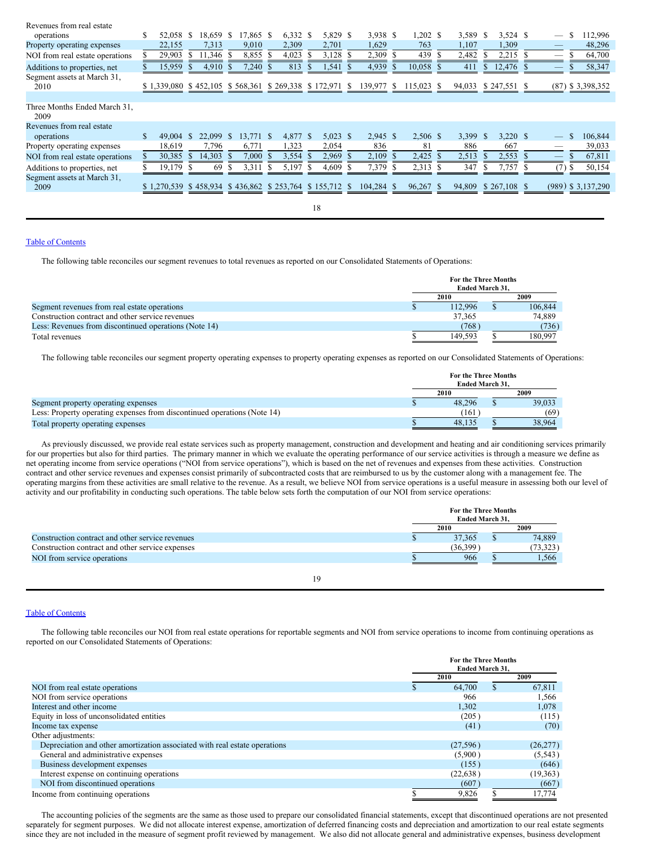| Revenues from real estate            |     |                                                        |              |           |     |           |      |          |            |              |              |    |            |      |            |     |                      |                          |   |                      |
|--------------------------------------|-----|--------------------------------------------------------|--------------|-----------|-----|-----------|------|----------|------------|--------------|--------------|----|------------|------|------------|-----|----------------------|--------------------------|---|----------------------|
| operations                           | S   | 52,058 \$                                              |              | 18,659 \$ |     | 17,865 \$ |      | 6,332 \$ | 5,829 \$   |              | 3,938 \$     |    | $1,202$ \$ |      | 3,589      | -S  | $3,524$ \$           | $\overline{\phantom{m}}$ | S | 112,996              |
| Property operating expenses          |     | 22,155                                                 |              | 7,313     |     | 9,010     |      | 2,309    | 2,701      |              | 1,629        |    | 763        |      | 1,107      |     | 1,309                |                          |   | 48,296               |
| NOI from real estate operations      |     | 29,903                                                 | \$.          | 11,346    |     | 8,855     | - 55 | 4,023    | 3,128      |              | 2,309        |    | 439        | -S   | 2,482      | Ъ.  | 2,215                |                          |   | 64,700               |
| Additions to properties, net         |     | 15,959                                                 | <sup>8</sup> | 4,910     | \$. | 7,240     |      | 813      | 1.541      |              | 4,939        |    | 10,058     |      | 411        | \$. | 12,476               |                          |   | 58,347               |
| Segment assets at March 31,          |     |                                                        |              |           |     |           |      |          |            |              |              |    |            |      |            |     |                      |                          |   |                      |
| 2010                                 |     | \$1,339,080 \$452,105 \$568,361 \$269,338 \$172,971 \$ |              |           |     |           |      |          |            |              | 139,977 \$   |    | 115,023    | - S  |            |     | 94,033 \$ 247,551 \$ |                          |   | $(87)$ \$ 3,398,352  |
|                                      |     |                                                        |              |           |     |           |      |          |            |              |              |    |            |      |            |     |                      |                          |   |                      |
| Three Months Ended March 31,<br>2009 |     |                                                        |              |           |     |           |      |          |            |              |              |    |            |      |            |     |                      |                          |   |                      |
| Revenues from real estate            |     |                                                        |              |           |     |           |      |          |            |              |              |    |            |      |            |     |                      |                          |   |                      |
| operations                           | \$. | $49.004$ \$                                            |              | 22,099 \$ |     | 13,771 \$ |      | 4,877 \$ | $5,023$ \$ |              | $2,945$ \$   |    | 2,506 \$   |      | $3,399$ \$ |     | $3,220$ \$           | $\overline{\phantom{m}}$ | S | 106,844              |
| Property operating expenses          |     | 18,619                                                 |              | 7,796     |     | 6,771     |      | 1,323    | 2,054      |              | 836          |    | 81         |      | 886        |     | 667                  | -                        |   | 39,033               |
| NOI from real estate operations      |     | 30,385                                                 | S            | 14,303    |     | 7,000     |      | 3,554    | 2,969      | <sup>S</sup> | 2,109        | -S | 2,425      |      | 2,513      |     | 2,553                | –                        |   | 67,811               |
| Additions to properties, net         |     | 19,179                                                 |              | 69        |     | 3,311     | -S   | 5.197    | 4,609      |              | 7,379        |    | 2,313      |      | 347        |     | 7,757                | (7)                      |   | 50,154               |
| Segment assets at March 31,          |     |                                                        |              |           |     |           |      |          |            |              |              |    |            |      |            |     |                      |                          |   |                      |
| 2009                                 |     | \$1,270,539 \$458,934 \$436,862 \$253,764 \$155,712 \$ |              |           |     |           |      |          |            |              | $104,284$ \$ |    | 96,267     | - \$ | 94,809     |     | $$267,108$ \, \$     |                          |   | $(989)$ \$ 3,137,290 |
|                                      |     |                                                        |              |           |     |           |      |          | 10         |              |              |    |            |      |            |     |                      |                          |   |                      |

#### 18

# Table of [Contents](#page-0-0)

The following table reconciles our segment revenues to total revenues as reported on our Consolidated Statements of Operations:

|                                                       | For the Three Months<br><b>Ended March 31.</b> |         |      |         |  |  |
|-------------------------------------------------------|------------------------------------------------|---------|------|---------|--|--|
|                                                       |                                                | 2010    | 2009 |         |  |  |
| Segment revenues from real estate operations          |                                                | 112.996 |      | 106,844 |  |  |
| Construction contract and other service revenues      |                                                | 37,365  |      | 74.889  |  |  |
| Less: Revenues from discontinued operations (Note 14) |                                                | (768)   |      | (736)   |  |  |
| Total revenues                                        |                                                | 149.593 |      | 180.997 |  |  |

The following table reconciles our segment property operating expenses to property operating expenses as reported on our Consolidated Statements of Operations:

|                                                                          | For the Three Months<br><b>Ended March 31.</b> |      |        |  |  |
|--------------------------------------------------------------------------|------------------------------------------------|------|--------|--|--|
|                                                                          | 2010                                           | 2009 |        |  |  |
| Segment property operating expenses                                      | 48.296                                         |      | 39.033 |  |  |
| Less: Property operating expenses from discontinued operations (Note 14) | 161                                            |      | (69)   |  |  |
| Total property operating expenses                                        | 48.135                                         |      | 38,964 |  |  |

As previously discussed, we provide real estate services such as property management, construction and development and heating and air conditioning services primarily for our properties but also for third parties. The primary manner in which we evaluate the operating performance of our service activities is through a measure we define as net operating income from service operations ("NOI from service operations"), which is based on the net of revenues and expenses from these activities. Construction contract and other service revenues and expenses consist primarily of subcontracted costs that are reimbursed to us by the customer along with a management fee. The operating margins from these activities are small relative to the revenue. As a result, we believe NOI from service operations is a useful measure in assessing both our level of activity and our profitability in conducting such operations. The table below sets forth the computation of our NOI from service operations:

|                                                  |    | <b>For the Three Months</b><br><b>Ended March 31.</b> |  |           |  |  |
|--------------------------------------------------|----|-------------------------------------------------------|--|-----------|--|--|
|                                                  |    | 2010                                                  |  | 2009      |  |  |
| Construction contract and other service revenues |    | 37,365                                                |  | 74,889    |  |  |
| Construction contract and other service expenses |    | (36,399)                                              |  | (73, 323) |  |  |
| NOI from service operations                      |    | 966                                                   |  | 1.566     |  |  |
|                                                  |    |                                                       |  |           |  |  |
|                                                  | 19 |                                                       |  |           |  |  |

# Table of [Contents](#page-0-0)

The following table reconciles our NOI from real estate operations for reportable segments and NOI from service operations to income from continuing operations as reported on our Consolidated Statements of Operations:

|                                                                            | <b>For the Three Months</b><br><b>Ended March 31.</b> |      |          |  |
|----------------------------------------------------------------------------|-------------------------------------------------------|------|----------|--|
|                                                                            | 2010                                                  | 2009 |          |  |
| NOI from real estate operations                                            | 64,700                                                |      | 67,811   |  |
| NOI from service operations                                                | 966                                                   |      | 1,566    |  |
| Interest and other income                                                  | 1,302                                                 |      | 1,078    |  |
| Equity in loss of unconsolidated entities                                  | (205)                                                 |      | (115)    |  |
| Income tax expense                                                         | (41)                                                  |      | (70)     |  |
| Other adjustments:                                                         |                                                       |      |          |  |
| Depreciation and other amortization associated with real estate operations | (27, 596)                                             |      | (26,277) |  |
| General and administrative expenses                                        | (5,900)                                               |      | (5,543)  |  |
| Business development expenses                                              | (155)                                                 |      | (646)    |  |
| Interest expense on continuing operations                                  | (22, 638)                                             |      | (19,363) |  |
| NOI from discontinued operations                                           | (607)                                                 |      | (667)    |  |
| Income from continuing operations                                          | 9.826                                                 |      | 17.774   |  |

The accounting policies of the segments are the same as those used to prepare our consolidated financial statements, except that discontinued operations are not presented separately for segment purposes. We did not allocate interest expense, amortization of deferred financing costs and depreciation and amortization to our real estate segments since they are not included in the measure of segment profit reviewed by management. We also did not allocate general and administrative expenses, business development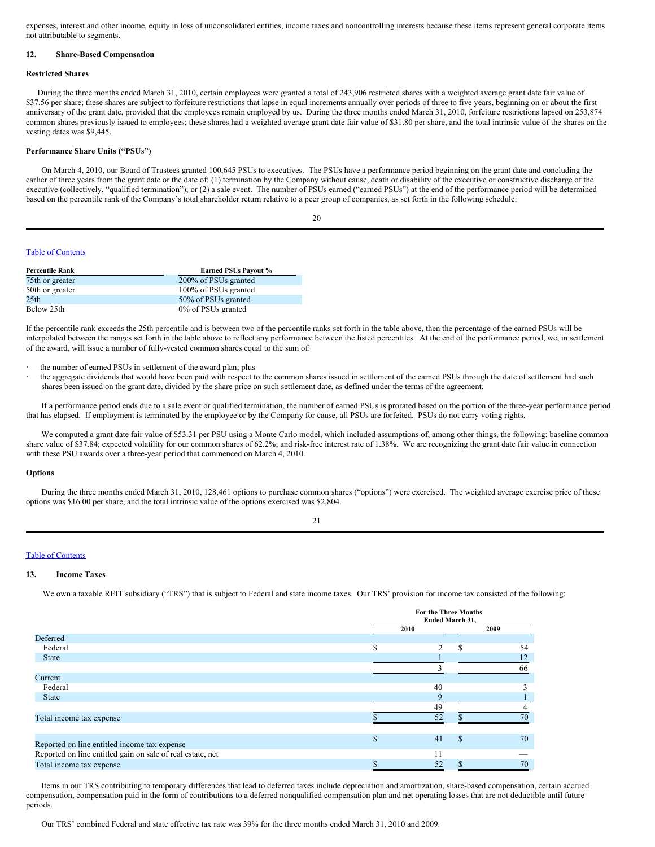expenses, interest and other income, equity in loss of unconsolidated entities, income taxes and noncontrolling interests because these items represent general corporate items not attributable to segments.

#### **12. Share-Based Compensation**

#### **Restricted Shares**

During the three months ended March 31, 2010, certain employees were granted a total of 243,906 restricted shares with a weighted average grant date fair value of \$37.56 per share; these shares are subject to forfeiture restrictions that lapse in equal increments annually over periods of three to five years, beginning on or about the first anniversary of the grant date, provided that the employees remain employed by us. During the three months ended March 31, 2010, forfeiture restrictions lapsed on 253,874 common shares previously issued to employees; these shares had a weighted average grant date fair value of \$31.80 per share, and the total intrinsic value of the shares on the vesting dates was \$9,445.

#### **Performance Share Units ("PSUs")**

On March 4, 2010, our Board of Trustees granted 100,645 PSUs to executives. The PSUs have a performance period beginning on the grant date and concluding the earlier of three years from the grant date or the date of: (1) termination by the Company without cause, death or disability of the executive or constructive discharge of the executive (collectively, "qualified termination"); or (2) a sale event. The number of PSUs earned ("earned PSUs") at the end of the performance period will be determined based on the percentile rank of the Company's total shareholder return relative to a peer group of companies, as set forth in the following schedule:

20

# Table of [Contents](#page-0-0)

| <b>Percentile Rank</b> | <b>Earned PSUs Payout %</b> |
|------------------------|-----------------------------|
| 75th or greater        | 200% of PSUs granted        |
| 50th or greater        | 100% of PSUs granted        |
| 25th                   | 50% of PSUs granted         |
| Below 25th             | 0% of PSUs granted          |

If the percentile rank exceeds the 25th percentile and is between two of the percentile ranks set forth in the table above, then the percentage of the earned PSUs will be interpolated between the ranges set forth in the table above to reflect any performance between the listed percentiles. At the end of the performance period, we, in settlement of the award, will issue a number of fully-vested common shares equal to the sum of:

the number of earned PSUs in settlement of the award plan; plus

the aggregate dividends that would have been paid with respect to the common shares issued in settlement of the earned PSUs through the date of settlement had such shares been issued on the grant date, divided by the share price on such settlement date, as defined under the terms of the agreement.

If a performance period ends due to a sale event or qualified termination, the number of earned PSUs is prorated based on the portion of the three-year performance period that has elapsed. If employment is terminated by the employee or by the Company for cause, all PSUs are forfeited. PSUs do not carry voting rights.

We computed a grant date fair value of \$53.31 per PSU using a Monte Carlo model, which included assumptions of, among other things, the following: baseline common share value of \$37.84; expected volatility for our common shares of 62.2%; and risk-free interest rate of 1.38%. We are recognizing the grant date fair value in connection with these PSU awards over a three-year period that commenced on March 4, 2010.

#### **Options**

During the three months ended March 31, 2010, 128,461 options to purchase common shares ("options") were exercised. The weighted average exercise price of these options was \$16.00 per share, and the total intrinsic value of the options exercised was \$2,804.

21

#### Table of [Contents](#page-0-0)

#### **13. Income Taxes**

We own a taxable REIT subsidiary ("TRS") that is subject to Federal and state income taxes. Our TRS' provision for income tax consisted of the following:

|                                                            |    | <b>For the Three Months</b><br>Ended March 31, |    |    |  |  |
|------------------------------------------------------------|----|------------------------------------------------|----|----|--|--|
|                                                            |    | 2010                                           |    |    |  |  |
| Deferred                                                   |    |                                                |    |    |  |  |
| Federal                                                    | J. | ∍                                              | S  | 54 |  |  |
| <b>State</b>                                               |    |                                                |    | 12 |  |  |
|                                                            |    |                                                |    | 66 |  |  |
| Current                                                    |    |                                                |    |    |  |  |
| Federal                                                    |    | 40                                             |    |    |  |  |
| <b>State</b>                                               |    | $\Omega$                                       |    |    |  |  |
|                                                            |    | 49                                             |    | 4  |  |  |
| Total income tax expense                                   |    | 52                                             |    | 70 |  |  |
|                                                            |    |                                                |    |    |  |  |
| Reported on line entitled income tax expense               | \$ | 41                                             | \$ | 70 |  |  |
| Reported on line entitled gain on sale of real estate, net |    | 11                                             |    |    |  |  |
| Total income tax expense                                   |    | 52                                             |    | 70 |  |  |

Items in our TRS contributing to temporary differences that lead to deferred taxes include depreciation and amortization, share-based compensation, certain accrued compensation, compensation paid in the form of contributions to a deferred nonqualified compensation plan and net operating losses that are not deductible until future periods.

Our TRS' combined Federal and state effective tax rate was 39% for the three months ended March 31, 2010 and 2009.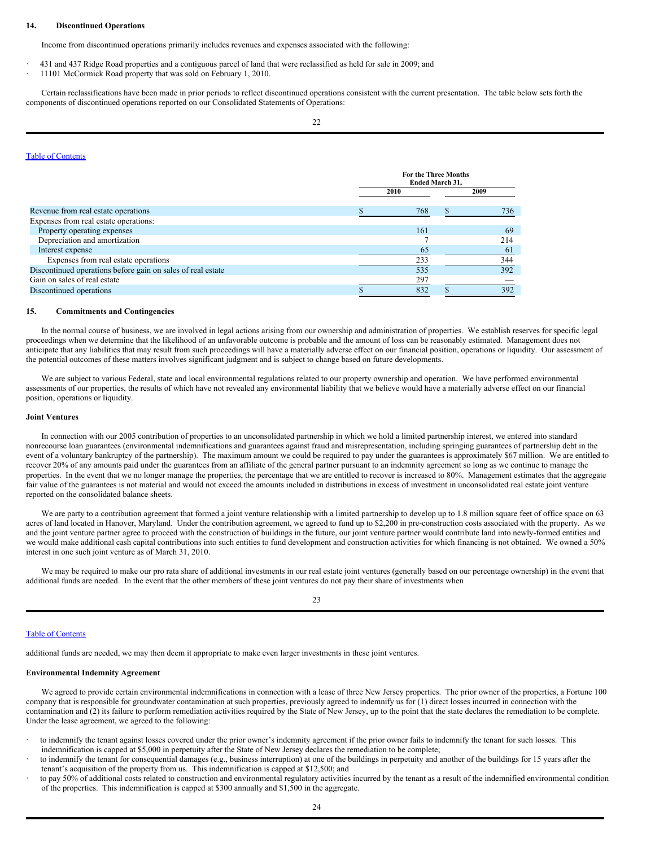#### **14. Discontinued Operations**

Income from discontinued operations primarily includes revenues and expenses associated with the following:

- · 431 and 437 Ridge Road properties and a contiguous parcel of land that were reclassified as held for sale in 2009; and
- · 11101 McCormick Road property that was sold on February 1, 2010.

Certain reclassifications have been made in prior periods to reflect discontinued operations consistent with the current presentation. The table below sets forth the components of discontinued operations reported on our Consolidated Statements of Operations:

#### Table of [Contents](#page-0-0)

|                                                             | <b>For the Three Months</b><br>Ended March 31, |  |     |  |  |  |  |
|-------------------------------------------------------------|------------------------------------------------|--|-----|--|--|--|--|
|                                                             | 2010                                           |  |     |  |  |  |  |
| Revenue from real estate operations                         | 768                                            |  | 736 |  |  |  |  |
| Expenses from real estate operations:                       |                                                |  |     |  |  |  |  |
| Property operating expenses                                 | 161                                            |  | -69 |  |  |  |  |
| Depreciation and amortization                               |                                                |  | 214 |  |  |  |  |
| Interest expense                                            | 65                                             |  | -61 |  |  |  |  |
| Expenses from real estate operations                        | 233                                            |  | 344 |  |  |  |  |
| Discontinued operations before gain on sales of real estate | 535                                            |  | 392 |  |  |  |  |
| Gain on sales of real estate                                | 297                                            |  |     |  |  |  |  |
| Discontinued operations                                     | 832                                            |  | 392 |  |  |  |  |

#### **15. Commitments and Contingencies**

In the normal course of business, we are involved in legal actions arising from our ownership and administration of properties. We establish reserves for specific legal proceedings when we determine that the likelihood of an unfavorable outcome is probable and the amount of loss can be reasonably estimated. Management does not anticipate that any liabilities that may result from such proceedings will have a materially adverse effect on our financial position, operations or liquidity. Our assessment of the potential outcomes of these matters involves significant judgment and is subject to change based on future developments.

We are subject to various Federal, state and local environmental regulations related to our property ownership and operation. We have performed environmental assessments of our properties, the results of which have not revealed any environmental liability that we believe would have a materially adverse effect on our financial position, operations or liquidity.

#### **Joint Ventures**

In connection with our 2005 contribution of properties to an unconsolidated partnership in which we hold a limited partnership interest, we entered into standard nonrecourse loan guarantees (environmental indemnifications and guarantees against fraud and misrepresentation, including springing guarantees of partnership debt in the event of a voluntary bankruptcy of the partnership). The maximum amount we could be required to pay under the guarantees is approximately \$67 million. We are entitled to recover 20% of any amounts paid under the guarantees from an affiliate of the general partner pursuant to an indemnity agreement so long as we continue to manage the properties. In the event that we no longer manage the properties, the percentage that we are entitled to recover is increased to 80%. Management estimates that the aggregate fair value of the guarantees is not material and would not exceed the amounts included in distributions in excess of investment in unconsolidated real estate joint venture reported on the consolidated balance sheets.

We are party to a contribution agreement that formed a joint venture relationship with a limited partnership to develop up to 1.8 million square feet of office space on 63 acres of land located in Hanover, Maryland. Under the contribution agreement, we agreed to fund up to \$2,200 in pre-construction costs associated with the property. As we and the joint venture partner agree to proceed with the construction of buildings in the future, our joint venture partner would contribute land into newly-formed entities and we would make additional cash capital contributions into such entities to fund development and construction activities for which financing is not obtained. We owned a 50% interest in one such joint venture as of March 31, 2010.

We may be required to make our pro rata share of additional investments in our real estate joint ventures (generally based on our percentage ownership) in the event that additional funds are needed. In the event that the other members of these joint ventures do not pay their share of investments when

#### Table of [Contents](#page-0-0)

additional funds are needed, we may then deem it appropriate to make even larger investments in these joint ventures.

# **Environmental Indemnity Agreement**

We agreed to provide certain environmental indemnifications in connection with a lease of three New Jersey properties. The prior owner of the properties, a Fortune 100 company that is responsible for groundwater contamination at such properties, previously agreed to indemnify us for (1) direct losses incurred in connection with the contamination and (2) its failure to perform remediation activities required by the State of New Jersey, up to the point that the state declares the remediation to be complete. Under the lease agreement, we agreed to the following:

- to indemnify the tenant against losses covered under the prior owner's indemnity agreement if the prior owner fails to indemnify the tenant for such losses. This indemnification is capped at \$5,000 in perpetuity after the State of New Jersey declares the remediation to be complete;
- to indemnify the tenant for consequential damages (e.g., business interruption) at one of the buildings in perpetuity and another of the buildings for 15 years after the tenant's acquisition of the property from us. This indemnification is capped at \$12,500; and
- · to pay 50% of additional costs related to construction and environmental regulatory activities incurred by the tenant as a result of the indemnified environmental condition of the properties. This indemnification is capped at \$300 annually and \$1,500 in the aggregate.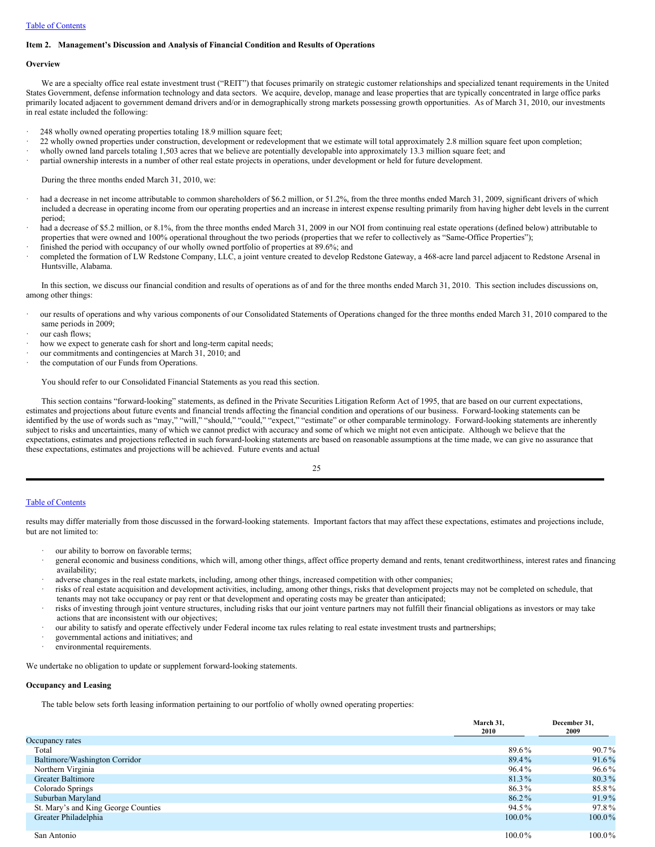# <span id="page-14-0"></span>**Item 2. Management's Discussion and Analysis of Financial Condition and Results of Operations**

#### **Overview**

We are a specialty office real estate investment trust ("REIT") that focuses primarily on strategic customer relationships and specialized tenant requirements in the United States Government, defense information technology and data sectors. We acquire, develop, manage and lease properties that are typically concentrated in large office parks primarily located adjacent to government demand drivers and/or in demographically strong markets possessing growth opportunities. As of March 31, 2010, our investments in real estate included the following:

- 248 wholly owned operating properties totaling 18.9 million square feet;
- · 22 wholly owned properties under construction, development or redevelopment that we estimate will total approximately 2.8 million square feet upon completion;
- · wholly owned land parcels totaling 1,503 acres that we believe are potentially developable into approximately 13.3 million square feet; and
- partial ownership interests in a number of other real estate projects in operations, under development or held for future development.

During the three months ended March 31, 2010, we:

- had a decrease in net income attributable to common shareholders of \$6.2 million, or 51.2%, from the three months ended March 31, 2009, significant drivers of which included a decrease in operating income from our operating properties and an increase in interest expense resulting primarily from having higher debt levels in the current period;
- had a decrease of \$5.2 million, or 8.1%, from the three months ended March 31, 2009 in our NOI from continuing real estate operations (defined below) attributable to properties that were owned and 100% operational throughout the two periods (properties that we refer to collectively as "Same-Office Properties");
- finished the period with occupancy of our wholly owned portfolio of properties at 89.6%; and
- completed the formation of LW Redstone Company, LLC, a joint venture created to develop Redstone Gateway, a 468-acre land parcel adjacent to Redstone Arsenal in Huntsville, Alabama.

In this section, we discuss our financial condition and results of operations as of and for the three months ended March 31, 2010. This section includes discussions on, among other things:

- our results of operations and why various components of our Consolidated Statements of Operations changed for the three months ended March 31, 2010 compared to the same periods in 2009;
- our cash flows:
- how we expect to generate cash for short and long-term capital needs;
- our commitments and contingencies at March 31, 2010; and
- the computation of our Funds from Operations.

You should refer to our Consolidated Financial Statements as you read this section.

This section contains "forward-looking" statements, as defined in the Private Securities Litigation Reform Act of 1995, that are based on our current expectations, estimates and projections about future events and financial trends affecting the financial condition and operations of our business. Forward-looking statements can be identified by the use of words such as "may," "will," "should," "could," "expect," "estimate" or other comparable terminology. Forward-looking statements are inherently subject to risks and uncertainties, many of which we cannot predict with accuracy and some of which we might not even anticipate. Although we believe that the expectations, estimates and projections reflected in such forward-looking statements are based on reasonable assumptions at the time made, we can give no assurance that these expectations, estimates and projections will be achieved. Future events and actual

25

#### Table of [Contents](#page-0-0)

results may differ materially from those discussed in the forward-looking statements. Important factors that may affect these expectations, estimates and projections include, but are not limited to:

- our ability to borrow on favorable terms;
- · general economic and business conditions, which will, among other things, affect office property demand and rents, tenant creditworthiness, interest rates and financing availability;
- adverse changes in the real estate markets, including, among other things, increased competition with other companies;
- · risks of real estate acquisition and development activities, including, among other things, risks that development projects may not be completed on schedule, that tenants may not take occupancy or pay rent or that development and operating costs may be greater than anticipated;
- · risks of investing through joint venture structures, including risks that our joint venture partners may not fulfill their financial obligations as investors or may take actions that are inconsistent with our objectives;
- our ability to satisfy and operate effectively under Federal income tax rules relating to real estate investment trusts and partnerships;
- · governmental actions and initiatives; and
- environmental requirements.

We undertake no obligation to update or supplement forward-looking statements.

# **Occupancy and Leasing**

The table below sets forth leasing information pertaining to our portfolio of wholly owned operating properties:

|                                     | March 31.<br>2010 | December 31,<br>2009 |
|-------------------------------------|-------------------|----------------------|
| Occupancy rates                     |                   |                      |
| Total                               | 89.6%             | $90.7\%$             |
| Baltimore/Washington Corridor       | 89.4%             | 91.6%                |
| Northern Virginia                   | $96.4\%$          | $96.6\%$             |
| <b>Greater Baltimore</b>            | 81.3%             | 80.3%                |
| Colorado Springs                    | 86.3%             | 85.8%                |
| Suburban Maryland                   | 86.2%             | $91.9\%$             |
| St. Mary's and King George Counties | 94.5%             | 97.8%                |
| Greater Philadelphia                | $100.0\%$         | 100.0%               |
| San Antonio                         | $100.0\%$         | $100.0\%$            |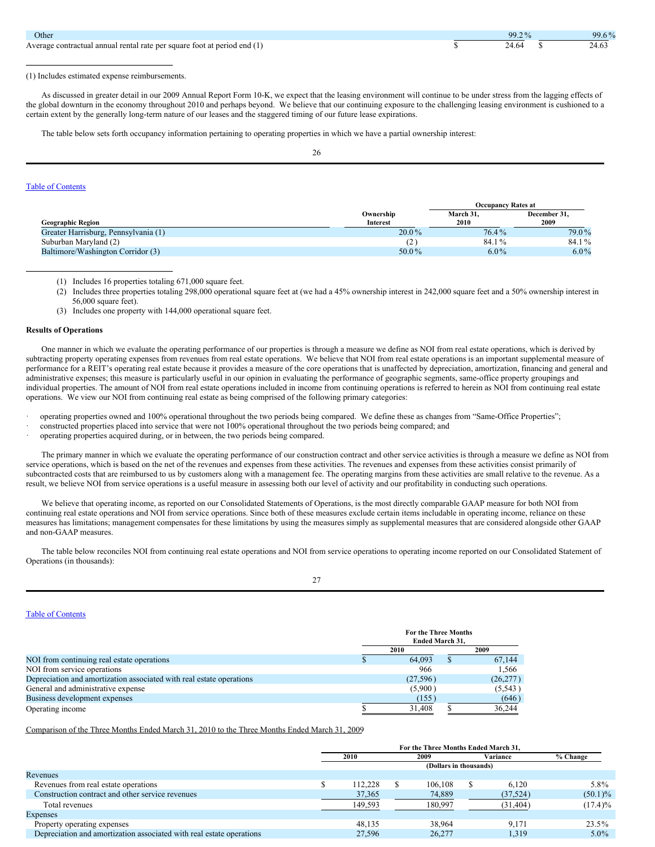| Other                                                                    | $992\%$<br>$\sim$ $\sim$ $\sim$  | 99.6%<br>-70 |
|--------------------------------------------------------------------------|----------------------------------|--------------|
| Average contractual annual rental rate per square foot at period end (1) | $\ldots$<br>$\sim$ $\sim$ $\sim$ | 24.O3        |

#### (1) Includes estimated expense reimbursements.

As discussed in greater detail in our 2009 Annual Report Form 10-K, we expect that the leasing environment will continue to be under stress from the lagging effects of the global downturn in the economy throughout 2010 and perhaps beyond. We believe that our continuing exposure to the challenging leasing environment is cushioned to a certain extent by the generally long-term nature of our leases and the staggered timing of our future lease expirations.

The table below sets forth occupancy information pertaining to operating properties in which we have a partial ownership interest:

26

# Table of [Contents](#page-0-0)

|                                      |                 | <b>Occupancy Rates at</b> |              |  |  |  |
|--------------------------------------|-----------------|---------------------------|--------------|--|--|--|
|                                      | Ownership       | March 31.                 | December 31, |  |  |  |
| <b>Geographic Region</b>             | <b>Interest</b> | 2010                      | 2009         |  |  |  |
| Greater Harrisburg, Pennsylvania (1) | $20.0\%$        | $76.4\%$                  | 79.0%        |  |  |  |
| Suburban Maryland (2)                | (2)             | 84.1%                     | 84.1%        |  |  |  |
| Baltimore/Washington Corridor (3)    | 50.0%           | $6.0\%$                   | $6.0\%$      |  |  |  |

(1) Includes 16 properties totaling 671,000 square feet.

(2) Includes three properties totaling 298,000 operational square feet at (we had a 45% ownership interest in 242,000 square feet and a 50% ownership interest in 56,000 square feet).

(3) Includes one property with 144,000 operational square feet.

#### **Results of Operations**

One manner in which we evaluate the operating performance of our properties is through a measure we define as NOI from real estate operations, which is derived by subtracting property operating expenses from revenues from real estate operations. We believe that NOI from real estate operations is an important supplemental measure of performance for a REIT's operating real estate because it provides a measure of the core operations that is unaffected by depreciation, amortization, financing and general and administrative expenses; this measure is particularly useful in our opinion in evaluating the performance of geographic segments, same-office property groupings and individual properties. The amount of NOI from real estate operations included in income from continuing operations is referred to herein as NOI from continuing real estate operations. We view our NOI from continuing real estate as being comprised of the following primary categories:

· operating properties owned and 100% operational throughout the two periods being compared. We define these as changes from "Same-Office Properties";

- constructed properties placed into service that were not 100% operational throughout the two periods being compared; and
- operating properties acquired during, or in between, the two periods being compared.

The primary manner in which we evaluate the operating performance of our construction contract and other service activities is through a measure we define as NOI from service operations, which is based on the net of the revenues and expenses from these activities. The revenues and expenses from these activities consist primarily of subcontracted costs that are reimbursed to us by customers along with a management fee. The operating margins from these activities are small relative to the revenue. As a result, we believe NOI from service operations is a useful measure in assessing both our level of activity and our profitability in conducting such operations.

We believe that operating income, as reported on our Consolidated Statements of Operations, is the most directly comparable GAAP measure for both NOI from continuing real estate operations and NOI from service operations. Since both of these measures exclude certain items includable in operating income, reliance on these measures has limitations; management compensates for these limitations by using the measures simply as supplemental measures that are considered alongside other GAAP and non-GAAP measures.

The table below reconciles NOI from continuing real estate operations and NOI from service operations to operating income reported on our Consolidated Statement of Operations (in thousands):

#### 27

#### Table of [Contents](#page-0-0)

|                                                                      | <b>For the Three Months</b><br><b>Ended March 31.</b> |          |
|----------------------------------------------------------------------|-------------------------------------------------------|----------|
|                                                                      | 2010                                                  | 2009     |
| NOI from continuing real estate operations                           | 64,093                                                | 67,144   |
| NOI from service operations                                          | 966                                                   | 1.566    |
| Depreciation and amortization associated with real estate operations | (27, 596)                                             | (26,277) |
| General and administrative expense                                   | (5,900)                                               | (5, 543) |
| Business development expenses                                        | (155)                                                 | (646)    |
| Operating income                                                     | 31.408                                                | 36,244   |

Comparison of the Three Months Ended March 31, 2010 to the Three Months Ended March 31, 2009

|                                                                      | For the Three Months Ended March 31, |                        |  |         |  |           |            |  |
|----------------------------------------------------------------------|--------------------------------------|------------------------|--|---------|--|-----------|------------|--|
|                                                                      | 2010                                 |                        |  | 2009    |  | Variance  | % Change   |  |
|                                                                      |                                      | (Dollars in thousands) |  |         |  |           |            |  |
| Revenues                                                             |                                      |                        |  |         |  |           |            |  |
| Revenues from real estate operations                                 |                                      | 112.228                |  | 106.108 |  | 6.120     | 5.8%       |  |
| Construction contract and other service revenues                     |                                      | 37,365                 |  | 74,889  |  | (37, 524) | $(50.1)\%$ |  |
| Total revenues                                                       |                                      | 149,593                |  | 180,997 |  | (31, 404) | $(17.4)\%$ |  |
| <b>Expenses</b>                                                      |                                      |                        |  |         |  |           |            |  |
| Property operating expenses                                          |                                      | 48.135                 |  | 38,964  |  | 9.171     | 23.5%      |  |
| Depreciation and amortization associated with real estate operations |                                      | 27.596                 |  | 26,277  |  | 1.319     | $5.0\%$    |  |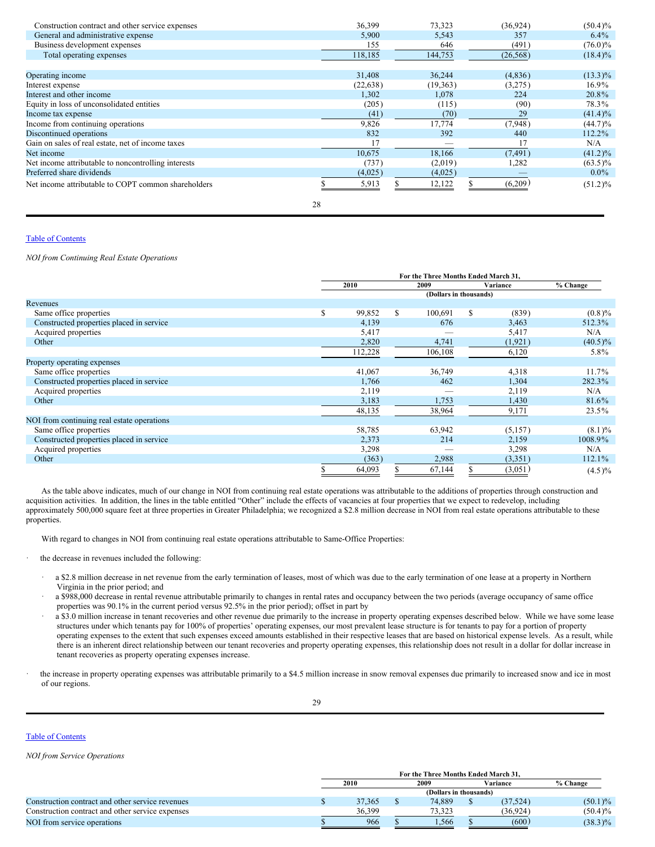| Construction contract and other service expenses    | 36,399    | 73,323   | (36, 924) | $(50.4)\%$ |
|-----------------------------------------------------|-----------|----------|-----------|------------|
| General and administrative expense                  | 5,900     | 5,543    | 357       | $6.4\%$    |
| Business development expenses                       | 155       | 646      | (491)     | $(76.0)\%$ |
| Total operating expenses                            | 118,185   | 144,753  | (26, 568) | $(18.4)\%$ |
|                                                     |           |          |           |            |
| Operating income                                    | 31,408    | 36,244   | (4,836)   | $(13.3)\%$ |
| Interest expense                                    | (22, 638) | (19,363) | (3,275)   | $16.9\%$   |
| Interest and other income                           | 1,302     | 1,078    | 224       | 20.8%      |
| Equity in loss of unconsolidated entities           | (205)     | (115)    | (90)      | 78.3%      |
| Income tax expense                                  | (41)      | (70)     | 29        | $(41.4)\%$ |
| Income from continuing operations                   | 9,826     | 17,774   | (7,948)   | $(44.7)\%$ |
| Discontinued operations                             | 832       | 392      | 440       | 112.2%     |
| Gain on sales of real estate, net of income taxes   | 17        |          |           | N/A        |
| Net income                                          | 10,675    | 18,166   | (7, 491)  | $(41.2)\%$ |
| Net income attributable to noncontrolling interests | (737)     | (2,019)  | 1,282     | $(63.5)\%$ |
| Preferred share dividends                           | (4,025)   | (4,025)  |           | $0.0\%$    |
| Net income attributable to COPT common shareholders | 5,913     | 12,122   | (6,209)   | $(51.2)\%$ |

28

# Table of [Contents](#page-0-0)

*NOI from Continuing Real Estate Operations*

|                                            | For the Three Months Ended March 31, |    |                        |   |          |            |
|--------------------------------------------|--------------------------------------|----|------------------------|---|----------|------------|
|                                            | 2010                                 |    | 2009                   |   | Variance | % Change   |
|                                            |                                      |    | (Dollars in thousands) |   |          |            |
| Revenues                                   |                                      |    |                        |   |          |            |
| Same office properties                     | \$<br>99,852                         | \$ | 100.691                | S | (839)    | $(0.8)\%$  |
| Constructed properties placed in service   | 4,139                                |    | 676                    |   | 3,463    | 512.3%     |
| Acquired properties                        | 5,417                                |    |                        |   | 5,417    | N/A        |
| Other                                      | 2,820                                |    | 4,741                  |   | (1, 921) | $(40.5)\%$ |
|                                            | 112,228                              |    | 106,108                |   | 6,120    | 5.8%       |
| Property operating expenses                |                                      |    |                        |   |          |            |
| Same office properties                     | 41,067                               |    | 36,749                 |   | 4,318    | 11.7%      |
| Constructed properties placed in service   | 1,766                                |    | 462                    |   | 1,304    | 282.3%     |
| Acquired properties                        | 2,119                                |    | -                      |   | 2,119    | N/A        |
| Other                                      | 3,183                                |    | 1,753                  |   | 1,430    | 81.6%      |
|                                            | 48,135                               |    | 38,964                 |   | 9,171    | 23.5%      |
| NOI from continuing real estate operations |                                      |    |                        |   |          |            |
| Same office properties                     | 58,785                               |    | 63,942                 |   | (5,157)  | $(8.1)\%$  |
| Constructed properties placed in service   | 2,373                                |    | 214                    |   | 2,159    | 1008.9%    |
| Acquired properties                        | 3,298                                |    |                        |   | 3,298    | N/A        |
| Other                                      | (363)                                |    | 2,988                  |   | (3,351)  | 112.1%     |
|                                            | 64,093                               |    | 67,144                 | S | (3,051)  | $(4.5)\%$  |

As the table above indicates, much of our change in NOI from continuing real estate operations was attributable to the additions of properties through construction and acquisition activities. In addition, the lines in the table entitled "Other" include the effects of vacancies at four properties that we expect to redevelop, including approximately 500,000 square feet at three properties in Greater Philadelphia; we recognized a \$2.8 million decrease in NOI from real estate operations attributable to these properties.

With regard to changes in NOI from continuing real estate operations attributable to Same-Office Properties:

the decrease in revenues included the following:

- a \$2.8 million decrease in net revenue from the early termination of leases, most of which was due to the early termination of one lease at a property in Northern Virginia in the prior period; and
- · a \$988,000 decrease in rental revenue attributable primarily to changes in rental rates and occupancy between the two periods (average occupancy of same office properties was 90.1% in the current period versus 92.5% in the prior period); offset in part by
- a \$3.0 million increase in tenant recoveries and other revenue due primarily to the increase in property operating expenses described below. While we have some lease structures under which tenants pay for 100% of properties' operating expenses, our most prevalent lease structure is for tenants to pay for a portion of property operating expenses to the extent that such expenses exceed amounts established in their respective leases that are based on historical expense levels. As a result, while there is an inherent direct relationship between our tenant recoveries and property operating expenses, this relationship does not result in a dollar for dollar increase in tenant recoveries as property operating expenses increase.
- the increase in property operating expenses was attributable primarily to a \$4.5 million increase in snow removal expenses due primarily to increased snow and ice in most of our regions.

29

# Table of [Contents](#page-0-0)

*NOI from Service Operations*

|                                                  |  | For the Three Months Ended March 31. |  |        |                  |          |            |          |  |
|--------------------------------------------------|--|--------------------------------------|--|--------|------------------|----------|------------|----------|--|
|                                                  |  | 2010                                 |  |        | 2009<br>Variance |          |            | % Change |  |
|                                                  |  | (Dollars in thousands)               |  |        |                  |          |            |          |  |
| Construction contract and other service revenues |  | 37.365                               |  | 74.889 |                  | (37.524) | $(50.1)\%$ |          |  |
| Construction contract and other service expenses |  | 36.399                               |  | 73.323 |                  | (36.924) | $(50.4)\%$ |          |  |
| NOI from service operations                      |  | 966                                  |  | .566   |                  | (600)    | $(38.3)\%$ |          |  |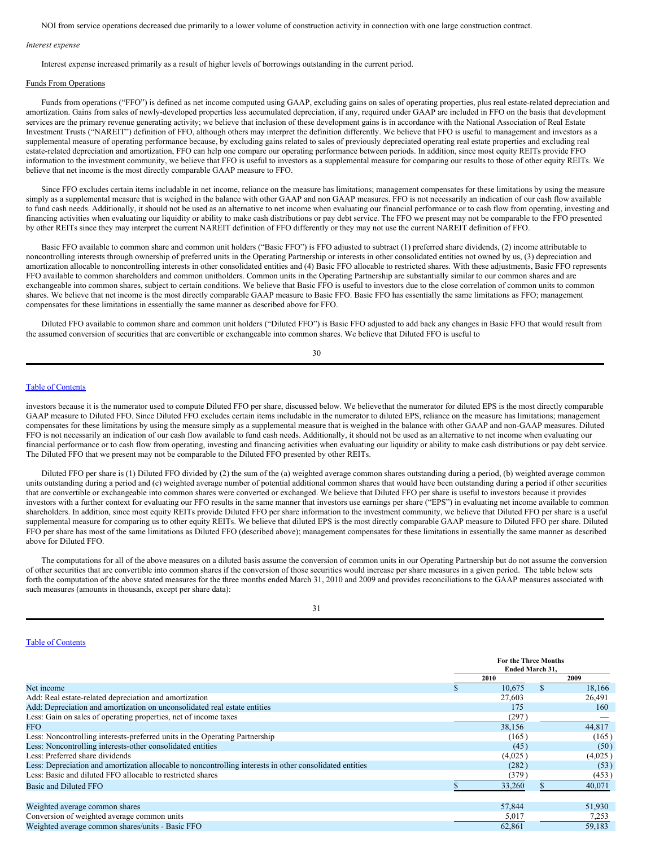NOI from service operations decreased due primarily to a lower volume of construction activity in connection with one large construction contract.

#### *Interest expense*

Interest expense increased primarily as a result of higher levels of borrowings outstanding in the current period.

#### Funds From Operations

Funds from operations ("FFO") is defined as net income computed using GAAP, excluding gains on sales of operating properties, plus real estate-related depreciation and amortization. Gains from sales of newly-developed properties less accumulated depreciation, if any, required under GAAP are included in FFO on the basis that development services are the primary revenue generating activity; we believe that inclusion of these development gains is in accordance with the National Association of Real Estate Investment Trusts ("NAREIT") definition of FFO, although others may interpret the definition differently. We believe that FFO is useful to management and investors as a supplemental measure of operating performance because, by excluding gains related to sales of previously depreciated operating real estate properties and excluding real estate-related depreciation and amortization, FFO can help one compare our operating performance between periods. In addition, since most equity REITs provide FFO information to the investment community, we believe that FFO is useful to investors as a supplemental measure for comparing our results to those of other equity REITs. We believe that net income is the most directly comparable GAAP measure to FFO.

Since FFO excludes certain items includable in net income, reliance on the measure has limitations; management compensates for these limitations by using the measure simply as a supplemental measure that is weighed in the balance with other GAAP and non GAAP measures. FFO is not necessarily an indication of our cash flow available to fund cash needs. Additionally, it should not be used as an alternative to net income when evaluating our financial performance or to cash flow from operating, investing and financing activities when evaluating our liquidity or ability to make cash distributions or pay debt service. The FFO we present may not be comparable to the FFO presented by other REITs since they may interpret the current NAREIT definition of FFO differently or they may not use the current NAREIT definition of FFO.

Basic FFO available to common share and common unit holders ("Basic FFO") is FFO adjusted to subtract (1) preferred share dividends, (2) income attributable to noncontrolling interests through ownership of preferred units in the Operating Partnership or interests in other consolidated entities not owned by us, (3) depreciation and amortization allocable to noncontrolling interests in other consolidated entities and (4) Basic FFO allocable to restricted shares. With these adjustments, Basic FFO represents FFO available to common shareholders and common unitholders. Common units in the Operating Partnership are substantially similar to our common shares and are exchangeable into common shares, subject to certain conditions. We believe that Basic FFO is useful to investors due to the close correlation of common units to common shares. We believe that net income is the most directly comparable GAAP measure to Basic FFO. Basic FFO has essentially the same limitations as FFO; management compensates for these limitations in essentially the same manner as described above for FFO.

Diluted FFO available to common share and common unit holders ("Diluted FFO") is Basic FFO adjusted to add back any changes in Basic FFO that would result from the assumed conversion of securities that are convertible or exchangeable into common shares. We believe that Diluted FFO is useful to

# Table of [Contents](#page-0-0)

investors because it is the numerator used to compute Diluted FFO per share, discussed below. We believethat the numerator for diluted EPS is the most directly comparable GAAP measure to Diluted FFO. Since Diluted FFO excludes certain items includable in the numerator to diluted EPS, reliance on the measure has limitations; management compensates for these limitations by using the measure simply as a supplemental measure that is weighed in the balance with other GAAP and non-GAAP measures. Diluted FFO is not necessarily an indication of our cash flow available to fund cash needs. Additionally, it should not be used as an alternative to net income when evaluating our financial performance or to cash flow from operating, investing and financing activities when evaluating our liquidity or ability to make cash distributions or pay debt service. The Diluted FFO that we present may not be comparable to the Diluted FFO presented by other REITs.

Diluted FFO per share is (1) Diluted FFO divided by (2) the sum of the (a) weighted average common shares outstanding during a period, (b) weighted average common units outstanding during a period and (c) weighted average number of potential additional common shares that would have been outstanding during a period if other securities that are convertible or exchangeable into common shares were converted or exchanged. We believe that Diluted FFO per share is useful to investors because it provides investors with a further context for evaluating our FFO results in the same manner that investors use earnings per share ("EPS") in evaluating net income available to common shareholders. In addition, since most equity REITs provide Diluted FFO per share information to the investment community, we believe that Diluted FFO per share is a useful supplemental measure for comparing us to other equity REITs. We believe that diluted EPS is the most directly comparable GAAP measure to Diluted FFO per share. Diluted FFO per share has most of the same limitations as Diluted FFO (described above); management compensates for these limitations in essentially the same manner as described above for Diluted FFO.

The computations for all of the above measures on a diluted basis assume the conversion of common units in our Operating Partnership but do not assume the conversion of other securities that are convertible into common shares if the conversion of those securities would increase per share measures in a given period. The table below sets forth the computation of the above stated measures for the three months ended March 31, 2010 and 2009 and provides reconciliations to the GAAP measures associated with such measures (amounts in thousands, except per share data):

#### 31

# Table of [Contents](#page-0-0)

|                                                                                                          | <b>For the Three Months</b><br>Ended March 31, |         |    |         |
|----------------------------------------------------------------------------------------------------------|------------------------------------------------|---------|----|---------|
|                                                                                                          |                                                | 2010    |    | 2009    |
| Net income                                                                                               |                                                | 10.675  | \$ | 18,166  |
| Add: Real estate-related depreciation and amortization                                                   |                                                | 27,603  |    | 26,491  |
| Add: Depreciation and amortization on unconsolidated real estate entities                                |                                                | 175     |    | 160     |
| Less: Gain on sales of operating properties, net of income taxes                                         |                                                | (297)   |    |         |
| FFO.                                                                                                     |                                                | 38,156  |    | 44,817  |
| Less: Noncontrolling interests-preferred units in the Operating Partnership                              |                                                | (165)   |    | (165)   |
| Less: Noncontrolling interests-other consolidated entities                                               |                                                | (45)    |    | (50)    |
| Less: Preferred share dividends                                                                          |                                                | (4,025) |    | (4,025) |
| Less: Depreciation and amortization allocable to noncontrolling interests in other consolidated entities |                                                | (282)   |    | (53)    |
| Less: Basic and diluted FFO allocable to restricted shares                                               |                                                | (379)   |    | (453)   |
| Basic and Diluted FFO                                                                                    |                                                | 33,260  |    | 40,071  |
|                                                                                                          |                                                |         |    |         |
| Weighted average common shares                                                                           |                                                | 57,844  |    | 51,930  |
| Conversion of weighted average common units                                                              |                                                | 5,017   |    | 7,253   |
| Weighted average common shares/units - Basic FFO                                                         |                                                | 62,861  |    | 59,183  |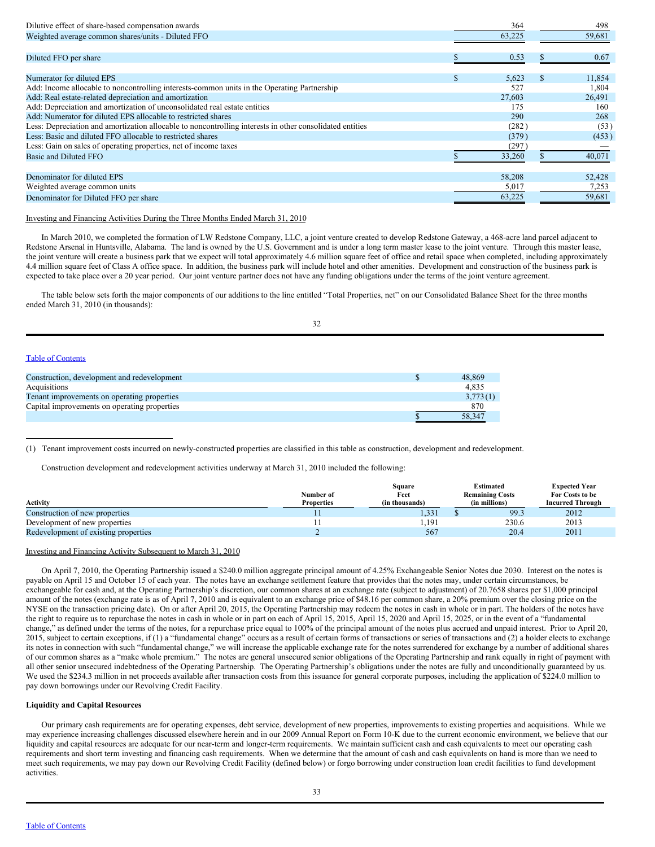| Dilutive effect of share-based compensation awards                                                       | 364    |          | 498    |
|----------------------------------------------------------------------------------------------------------|--------|----------|--------|
| Weighted average common shares/units - Diluted FFO                                                       | 63,225 |          | 59,681 |
| Diluted FFO per share                                                                                    | 0.53   |          | 0.67   |
| Numerator for diluted EPS                                                                                | 5,623  | <b>S</b> | 11,854 |
| Add: Income allocable to noncontrolling interests-common units in the Operating Partnership              | 527    |          | 1,804  |
| Add: Real estate-related depreciation and amortization                                                   | 27,603 |          | 26,491 |
| Add: Depreciation and amortization of unconsolidated real estate entities                                | 175    |          | 160    |
| Add: Numerator for diluted EPS allocable to restricted shares                                            | 290    |          | 268    |
| Less: Depreciation and amortization allocable to noncontrolling interests in other consolidated entities | (282)  |          | (53)   |
| Less: Basic and diluted FFO allocable to restricted shares                                               | (379)  |          | (453)  |
| Less: Gain on sales of operating properties, net of income taxes                                         | (297)  |          |        |
| Basic and Diluted FFO                                                                                    | 33,260 |          | 40,071 |
| Denominator for diluted EPS                                                                              | 58,208 |          | 52,428 |
| Weighted average common units                                                                            | 5,017  |          | 7,253  |
| Denominator for Diluted FFO per share                                                                    | 63,225 |          | 59,681 |

#### Investing and Financing Activities During the Three Months Ended March 31, 2010

In March 2010, we completed the formation of LW Redstone Company, LLC, a joint venture created to develop Redstone Gateway, a 468-acre land parcel adjacent to Redstone Arsenal in Huntsville, Alabama. The land is owned by the U.S. Government and is under a long term master lease to the joint venture. Through this master lease, the joint venture will create a business park that we expect will total approximately 4.6 million square feet of office and retail space when completed, including approximately 4.4 million square feet of Class A office space. In addition, the business park will include hotel and other amenities. Development and construction of the business park is expected to take place over a 20 year period. Our joint venture partner does not have any funding obligations under the terms of the joint venture agreement.

The table below sets forth the major components of our additions to the line entitled "Total Properties, net" on our Consolidated Balance Sheet for the three months ended March 31, 2010 (in thousands):

|        | ł       |
|--------|---------|
| ı      | ×,<br>I |
| -<br>v |         |

# Table of [Contents](#page-0-0)

| Construction, development and redevelopment  | 48.869   |
|----------------------------------------------|----------|
| Acquisitions                                 | 4.835    |
| Tenant improvements on operating properties  | 3,773(1) |
| Capital improvements on operating properties | 870      |
|                                              | 58.347   |

(1) Tenant improvement costs incurred on newly-constructed properties are classified in this table as construction, development and redevelopment.

Construction development and redevelopment activities underway at March 31, 2010 included the following:

|                                      | Number of  | Square<br>Feet | Estimated<br><b>Remaining Costs</b> | <b>Expected Year</b><br>For Costs to be |
|--------------------------------------|------------|----------------|-------------------------------------|-----------------------------------------|
| <b>Activity</b>                      | Properties | (in thousands) | (in millions)                       | <b>Incurred Through</b>                 |
| Construction of new properties       |            | 1,331          | 99.3                                | 2012                                    |
| Development of new properties        |            | .191           | 230.6                               | 2013                                    |
| Redevelopment of existing properties |            | 567            | 20.4                                | 2011                                    |

# Investing and Financing Activity Subsequent to March 31, 2010

On April 7, 2010, the Operating Partnership issued a \$240.0 million aggregate principal amount of 4.25% Exchangeable Senior Notes due 2030. Interest on the notes is payable on April 15 and October 15 of each year. The notes have an exchange settlement feature that provides that the notes may, under certain circumstances, be exchangeable for cash and, at the Operating Partnership's discretion, our common shares at an exchange rate (subject to adjustment) of 20.7658 shares per \$1,000 principal amount of the notes (exchange rate is as of April 7, 2010 and is equivalent to an exchange price of \$48.16 per common share, a 20% premium over the closing price on the NYSE on the transaction pricing date). On or after April 20, 2015, the Operating Partnership may redeem the notes in cash in whole or in part. The holders of the notes have the right to require us to repurchase the notes in cash in whole or in part on each of April 15, 2015, April 15, 2020 and April 15, 2025, or in the event of a "fundamental change," as defined under the terms of the notes, for a repurchase price equal to 100% of the principal amount of the notes plus accrued and unpaid interest. Prior to April 20, 2015, subject to certain exceptions, if (1) a "fundamental change" occurs as a result of certain forms of transactions or series of transactions and (2) a holder elects to exchange its notes in connection with such "fundamental change," we will increase the applicable exchange rate for the notes surrendered for exchange by a number of additional shares of our common shares as a "make whole premium." The notes are general unsecured senior obligations of the Operating Partnership and rank equally in right of payment with all other senior unsecured indebtedness of the Operating Partnership. The Operating Partnership's obligations under the notes are fully and unconditionally guaranteed by us. We used the \$234.3 million in net proceeds available after transaction costs from this issuance for general corporate purposes, including the application of \$224.0 million to pay down borrowings under our Revolving Credit Facility.

# **Liquidity and Capital Resources**

Our primary cash requirements are for operating expenses, debt service, development of new properties, improvements to existing properties and acquisitions. While we may experience increasing challenges discussed elsewhere herein and in our 2009 Annual Report on Form 10-K due to the current economic environment, we believe that our liquidity and capital resources are adequate for our near-term and longer-term requirements. We maintain sufficient cash and cash equivalents to meet our operating cash requirements and short term investing and financing cash requirements. When we determine that the amount of cash and cash equivalents on hand is more than we need to meet such requirements, we may pay down our Revolving Credit Facility (defined below) or forgo borrowing under construction loan credit facilities to fund development activities.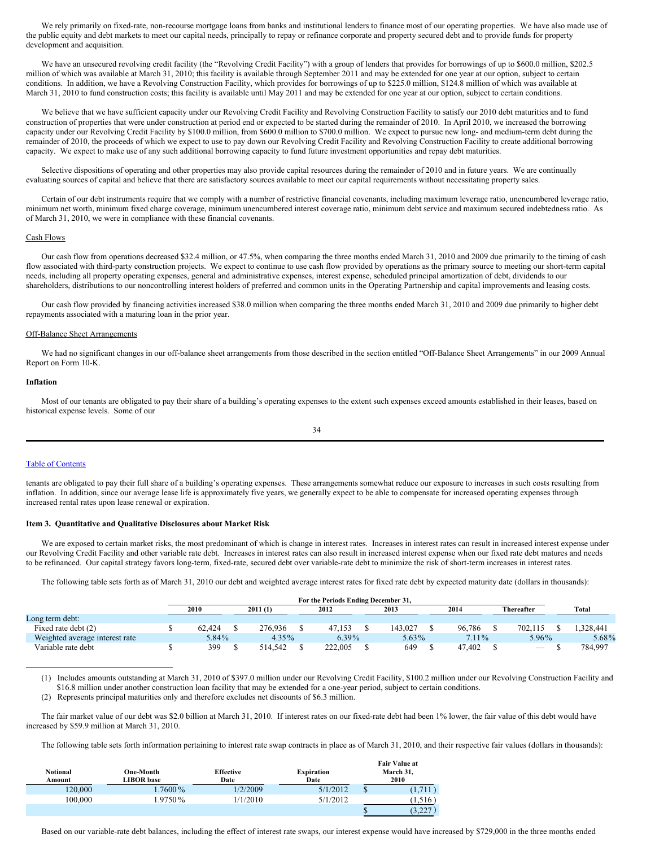We rely primarily on fixed-rate, non-recourse mortgage loans from banks and institutional lenders to finance most of our operating properties. We have also made use of the public equity and debt markets to meet our capital needs, principally to repay or refinance corporate and property secured debt and to provide funds for property development and acquisition.

We have an unsecured revolving credit facility (the "Revolving Credit Facility") with a group of lenders that provides for borrowings of up to \$600.0 million, \$202.5 million of which was available at March 31, 2010; this facility is available through September 2011 and may be extended for one year at our option, subject to certain conditions. In addition, we have a Revolving Construction Facility, which provides for borrowings of up to \$225.0 million, \$124.8 million of which was available at March 31, 2010 to fund construction costs; this facility is available until May 2011 and may be extended for one year at our option, subject to certain conditions.

We believe that we have sufficient capacity under our Revolving Credit Facility and Revolving Construction Facility to satisfy our 2010 debt maturities and to fund construction of properties that were under construction at period end or expected to be started during the remainder of 2010. In April 2010, we increased the borrowing capacity under our Revolving Credit Facility by \$100.0 million, from \$600.0 million to \$700.0 million. We expect to pursue new long- and medium-term debt during the remainder of 2010, the proceeds of which we expect to use to pay down our Revolving Credit Facility and Revolving Construction Facility to create additional borrowing capacity. We expect to make use of any such additional borrowing capacity to fund future investment opportunities and repay debt maturities.

Selective dispositions of operating and other properties may also provide capital resources during the remainder of 2010 and in future years. We are continually evaluating sources of capital and believe that there are satisfactory sources available to meet our capital requirements without necessitating property sales.

Certain of our debt instruments require that we comply with a number of restrictive financial covenants, including maximum leverage ratio, unencumbered leverage ratio, minimum net worth, minimum fixed charge coverage, minimum unencumbered interest coverage ratio, minimum debt service and maximum secured indebtedness ratio. As of March 31, 2010, we were in compliance with these financial covenants.

#### Cash Flows

Our cash flow from operations decreased \$32.4 million, or 47.5%, when comparing the three months ended March 31, 2010 and 2009 due primarily to the timing of cash flow associated with third-party construction projects. We expect to continue to use cash flow provided by operations as the primary source to meeting our short-term capital needs, including all property operating expenses, general and administrative expenses, interest expense, scheduled principal amortization of debt, dividends to our shareholders, distributions to our noncontrolling interest holders of preferred and common units in the Operating Partnership and capital improvements and leasing costs.

Our cash flow provided by financing activities increased \$38.0 million when comparing the three months ended March 31, 2010 and 2009 due primarily to higher debt repayments associated with a maturing loan in the prior year.

# Off-Balance Sheet Arrangements

We had no significant changes in our off-balance sheet arrangements from those described in the section entitled "Off-Balance Sheet Arrangements" in our 2009 Annual Report on Form 10-K.

#### **Inflation**

Most of our tenants are obligated to pay their share of a building's operating expenses to the extent such expenses exceed amounts established in their leases, based on historical expense levels. Some of our

<span id="page-19-0"></span>

| ٠<br>٦<br>ı<br>ı<br>$\sim$ |
|----------------------------|
|----------------------------|

#### Table of [Contents](#page-0-0)

tenants are obligated to pay their full share of a building's operating expenses. These arrangements somewhat reduce our exposure to increases in such costs resulting from inflation. In addition, since our average lease life is approximately five years, we generally expect to be able to compensate for increased operating expenses through increased rental rates upon lease renewal or expiration.

#### **Item 3. Quantitative and Qualitative Disclosures about Market Risk**

We are exposed to certain market risks, the most predominant of which is change in interest rates. Increases in interest rates can result in increased interest expense under our Revolving Credit Facility and other variable rate debt. Increases in interest rates can also result in increased interest expense when our fixed rate debt matures and needs to be refinanced. Our capital strategy favors long-term, fixed-rate, secured debt over variable-rate debt to minimize the risk of short-term increases in interest rates.

The following table sets forth as of March 31, 2010 our debt and weighted average interest rates for fixed rate debt by expected maturity date (dollars in thousands):

|                                |        |          | For the Periods Ending December 31, |         |          |            |          |
|--------------------------------|--------|----------|-------------------------------------|---------|----------|------------|----------|
|                                | 2010   | 2011(1)  | 2012                                | 2013    | 2014     | Thereafter | Total    |
| Long term debt:                |        |          |                                     |         |          |            |          |
| Fixed rate debt (2)            | 62.424 | 276,936  | 47.153                              | 143.027 | 96.786   | 702.115    | .328.441 |
| Weighted average interest rate | 5.84%  | $4.35\%$ | $6.39\%$                            | 5.63%   | $7.11\%$ | 5.96%      | 5.68%    |
| Variable rate debt             | 399    | 514.542  | 222,005                             | 649     | 47.402   |            | 784.997  |

(1) Includes amounts outstanding at March 31, 2010 of \$397.0 million under our Revolving Credit Facility, \$100.2 million under our Revolving Construction Facility and \$16.8 million under another construction loan facility that may be extended for a one-year period, subject to certain conditions.

(2) Represents principal maturities only and therefore excludes net discounts of \$6.3 million.

The fair market value of our debt was \$2.0 billion at March 31, 2010. If interest rates on our fixed-rate debt had been 1% lower, the fair value of this debt would have increased by \$59.9 million at March 31, 2010.

The following table sets forth information pertaining to interest rate swap contracts in place as of March 31, 2010, and their respective fair values (dollars in thousands):

| <b>Notional</b><br>Amount | One-Month<br><b>LIBOR</b> base | <b>Effective</b><br>Date | <b>Expiration</b><br>Date |    | <b>Fair Value at</b><br>March 31,<br>2010 |
|---------------------------|--------------------------------|--------------------------|---------------------------|----|-------------------------------------------|
| 120,000                   | 1.7600%                        | 1/2/2009                 | 5/1/2012                  | ۰D | 1,711                                     |
| 100,000                   | 1.9750%                        | 1/1/2010                 | 5/1/2012                  |    | (1,516)                                   |
|                           |                                |                          |                           | ۰D | 3.227                                     |

Based on our variable-rate debt balances, including the effect of interest rate swaps, our interest expense would have increased by \$729,000 in the three months ended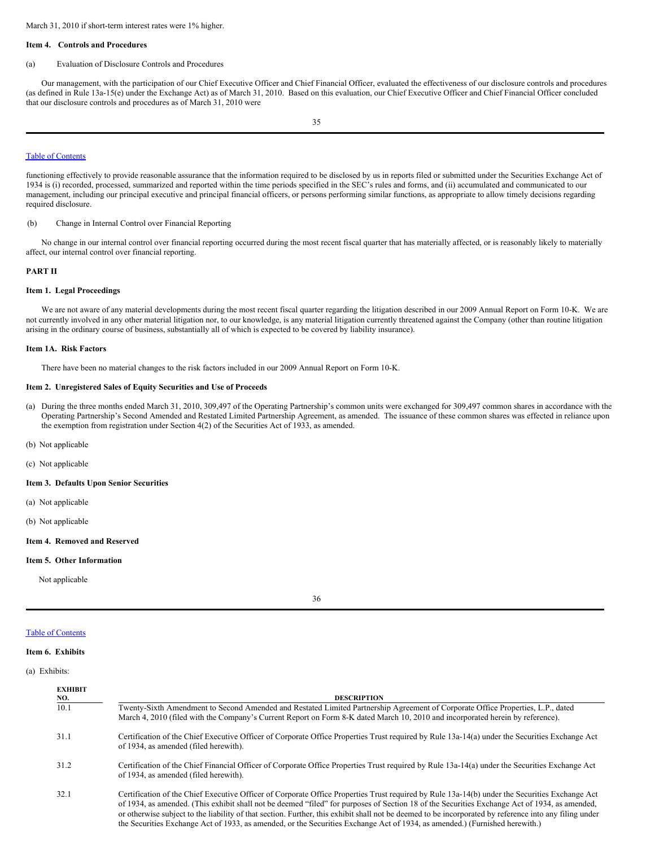#### March 31, 2010 if short-term interest rates were 1% higher.

# <span id="page-20-0"></span>**Item 4. Controls and Procedures**

# (a) Evaluation of Disclosure Controls and Procedures

Our management, with the participation of our Chief Executive Officer and Chief Financial Officer, evaluated the effectiveness of our disclosure controls and procedures (as defined in Rule 13a-15(e) under the Exchange Act) as of March 31, 2010. Based on this evaluation, our Chief Executive Officer and Chief Financial Officer concluded that our disclosure controls and procedures as of March 31, 2010 were

#### Table of [Contents](#page-0-0)

functioning effectively to provide reasonable assurance that the information required to be disclosed by us in reports filed or submitted under the Securities Exchange Act of 1934 is (i) recorded, processed, summarized and reported within the time periods specified in the SEC's rules and forms, and (ii) accumulated and communicated to our management, including our principal executive and principal financial officers, or persons performing similar functions, as appropriate to allow timely decisions regarding required disclosure.

# (b) Change in Internal Control over Financial Reporting

No change in our internal control over financial reporting occurred during the most recent fiscal quarter that has materially affected, or is reasonably likely to materially affect, our internal control over financial reporting.

# <span id="page-20-1"></span>**PART II**

#### <span id="page-20-2"></span>**Item 1. Legal Proceedings**

We are not aware of any material developments during the most recent fiscal quarter regarding the litigation described in our 2009 Annual Report on Form 10-K. We are not currently involved in any other material litigation nor, to our knowledge, is any material litigation currently threatened against the Company (other than routine litigation arising in the ordinary course of business, substantially all of which is expected to be covered by liability insurance).

# **Item 1A. Risk Factors**

<span id="page-20-3"></span>There have been no material changes to the risk factors included in our 2009 Annual Report on Form 10-K.

# **Item 2. Unregistered Sales of Equity Securities and Use of Proceeds**

(a) During the three months ended March 31, 2010, 309,497 of the Operating Partnership's common units were exchanged for 309,497 common shares in accordance with the Operating Partnership's Second Amended and Restated Limited Partnership Agreement, as amended. The issuance of these common shares was effected in reliance upon the exemption from registration under Section 4(2) of the Securities Act of 1933, as amended.

#### (b) Not applicable

(c) Not applicable

# <span id="page-20-5"></span>**Item 3. Defaults Upon Senior Securities**

- (a) Not applicable
- (b) Not applicable

#### **Item 4. Removed and Reserved**

#### **Item 5. Other Information**

<span id="page-20-7"></span><span id="page-20-6"></span>Not applicable

<span id="page-20-4"></span>36

#### Table of [Contents](#page-0-0)

#### **Item 6. Exhibits**

(a) Exhibits:

<span id="page-20-8"></span>

| <b>EXHIBIT</b><br>NO. | <b>DESCRIPTION</b>                                                                                                                                                                                                                                                                                                                                                                                                                                                                                                                                                                       |
|-----------------------|------------------------------------------------------------------------------------------------------------------------------------------------------------------------------------------------------------------------------------------------------------------------------------------------------------------------------------------------------------------------------------------------------------------------------------------------------------------------------------------------------------------------------------------------------------------------------------------|
| 10.1                  | Twenty-Sixth Amendment to Second Amended and Restated Limited Partnership Agreement of Corporate Office Properties, L.P., dated<br>March 4, 2010 (filed with the Company's Current Report on Form 8-K dated March 10, 2010 and incorporated herein by reference).                                                                                                                                                                                                                                                                                                                        |
| 31.1                  | Certification of the Chief Executive Officer of Corporate Office Properties Trust required by Rule 13a-14(a) under the Securities Exchange Act<br>of 1934, as amended (filed herewith).                                                                                                                                                                                                                                                                                                                                                                                                  |
| 31.2                  | Certification of the Chief Financial Officer of Corporate Office Properties Trust required by Rule 13a-14(a) under the Securities Exchange Act<br>of 1934, as amended (filed herewith).                                                                                                                                                                                                                                                                                                                                                                                                  |
| 32.1                  | Certification of the Chief Executive Officer of Corporate Office Properties Trust required by Rule 13a-14(b) under the Securities Exchange Act<br>of 1934, as amended. (This exhibit shall not be deemed "filed" for purposes of Section 18 of the Securities Exchange Act of 1934, as amended,<br>or otherwise subject to the liability of that section. Further, this exhibit shall not be deemed to be incorporated by reference into any filing under<br>the Securities Exchange Act of 1933, as amended, or the Securities Exchange Act of 1934, as amended.) (Furnished herewith.) |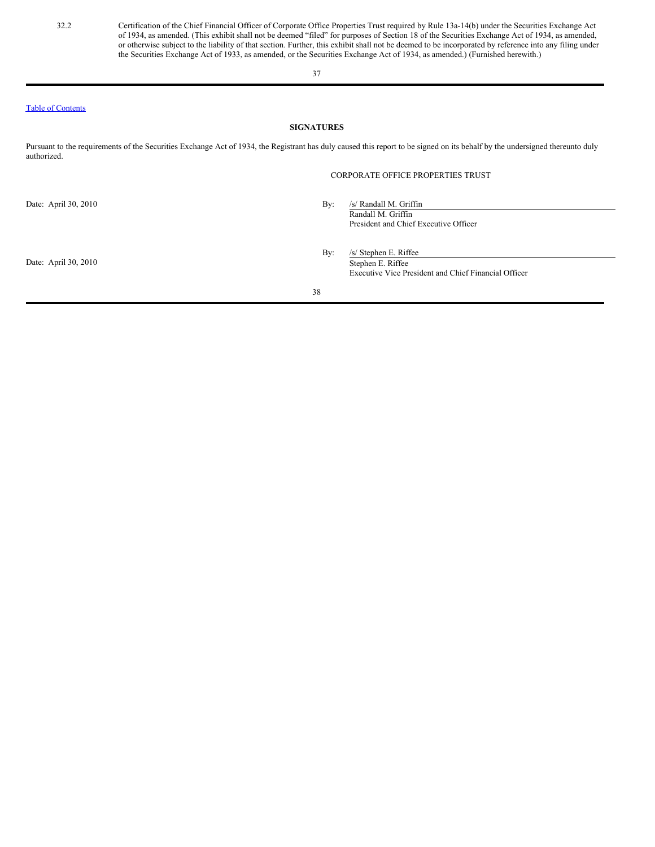32.2 Certification of the Chief Financial Officer of Corporate Office Properties Trust required by Rule 13a-14(b) under the Securities Exchange Act of 1934, as amended. (This exhibit shall not be deemed "filed" for purposes of Section 18 of the Securities Exchange Act of 1934, as amended, or otherwise subject to the liability of that section. Further, this exhibit shall not be deemed to be incorporated by reference into any filing under the Securities Exchange Act of 1933, as amended, or the Securities Exchange Act of 1934, as amended.) (Furnished herewith.)

# Table of [Contents](#page-0-0)

## **SIGNATURES**

37

Pursuant to the requirements of the Securities Exchange Act of 1934, the Registrant has duly caused this report to be signed on its behalf by the undersigned thereunto duly authorized.

# <span id="page-21-0"></span>CORPORATE OFFICE PROPERTIES TRUST

Date: April 30, 2010 By: /s/ Randall M. Griffin

Date: April 30, 2010

Randall M. Griffin President and Chief Executive Officer

By: /s/ Stephen E. Riffee<br>Stephen E. Riffee

Executive Vice President and Chief Financial Officer

38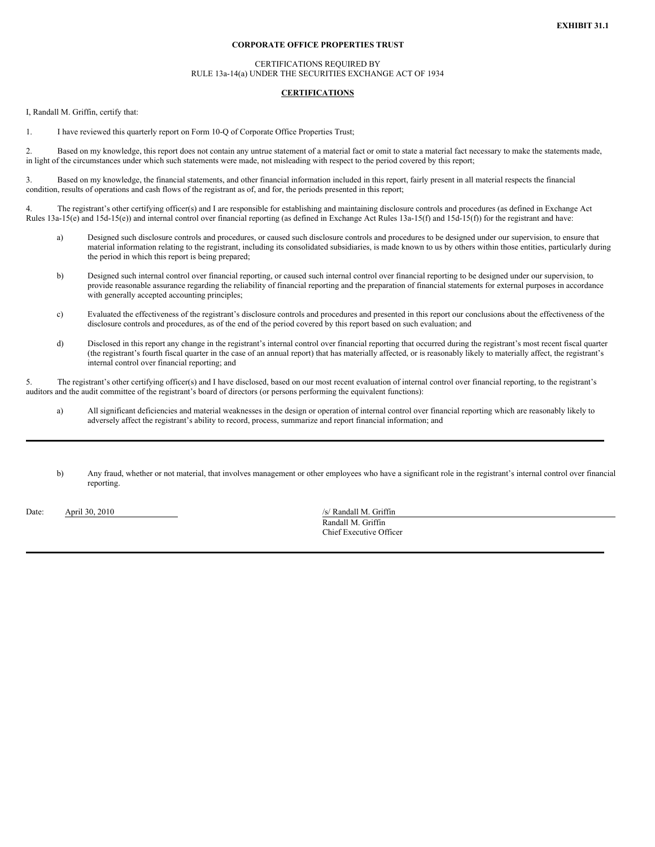# CERTIFICATIONS REQUIRED BY RULE 13a-14(a) UNDER THE SECURITIES EXCHANGE ACT OF 1934

#### **CERTIFICATIONS**

I, Randall M. Griffin, certify that:

1. I have reviewed this quarterly report on Form 10-Q of Corporate Office Properties Trust;

2. Based on my knowledge, this report does not contain any untrue statement of a material fact or omit to state a material fact necessary to make the statements made, in light of the circumstances under which such statements were made, not misleading with respect to the period covered by this report;

3. Based on my knowledge, the financial statements, and other financial information included in this report, fairly present in all material respects the financial condition, results of operations and cash flows of the registrant as of, and for, the periods presented in this report;

4. The registrant's other certifying officer(s) and I are responsible for establishing and maintaining disclosure controls and procedures (as defined in Exchange Act Rules 13a-15(e) and 15d-15(e)) and internal control over financial reporting (as defined in Exchange Act Rules 13a-15(f) and 15d-15(f)) for the registrant and have:

- a) Designed such disclosure controls and procedures, or caused such disclosure controls and procedures to be designed under our supervision, to ensure that material information relating to the registrant, including its consolidated subsidiaries, is made known to us by others within those entities, particularly during the period in which this report is being prepared;
- b) Designed such internal control over financial reporting, or caused such internal control over financial reporting to be designed under our supervision, to provide reasonable assurance regarding the reliability of financial reporting and the preparation of financial statements for external purposes in accordance with generally accepted accounting principles;
- c) Evaluated the effectiveness of the registrant's disclosure controls and procedures and presented in this report our conclusions about the effectiveness of the disclosure controls and procedures, as of the end of the period covered by this report based on such evaluation; and
- d) Disclosed in this report any change in the registrant's internal control over financial reporting that occurred during the registrant's most recent fiscal quarter (the registrant's fourth fiscal quarter in the case of an annual report) that has materially affected, or is reasonably likely to materially affect, the registrant's internal control over financial reporting; and

5. The registrant's other certifying officer(s) and I have disclosed, based on our most recent evaluation of internal control over financial reporting, to the registrant's auditors and the audit committee of the registrant's board of directors (or persons performing the equivalent functions):

- a) All significant deficiencies and material weaknesses in the design or operation of internal control over financial reporting which are reasonably likely to adversely affect the registrant's ability to record, process, summarize and report financial information; and
- b) Any fraud, whether or not material, that involves management or other employees who have a significant role in the registrant's internal control over financial reporting.

Date: April 30, 2010 /s/ Randall M. Griffin

Randall M. Griffin Chief Executive Officer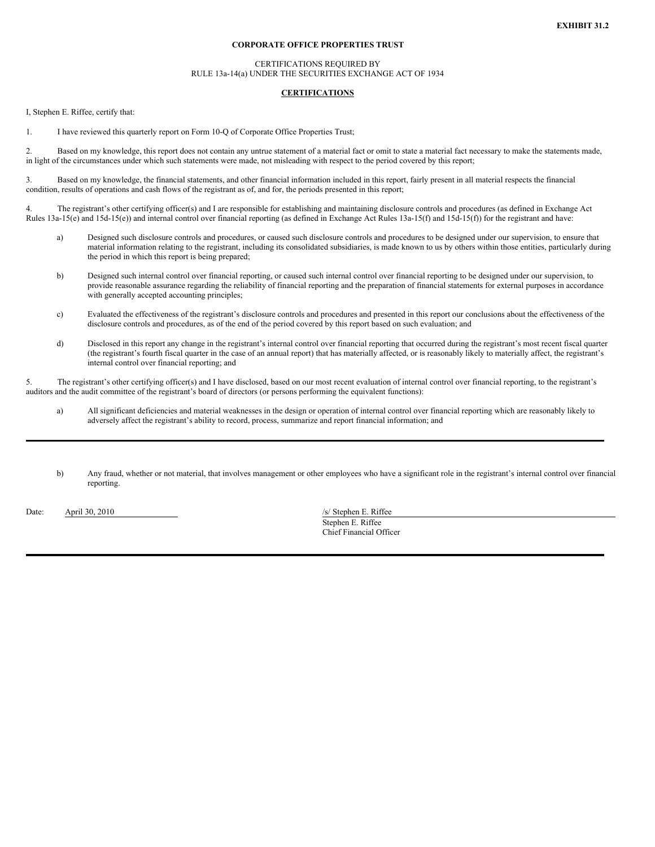# CERTIFICATIONS REQUIRED BY RULE 13a-14(a) UNDER THE SECURITIES EXCHANGE ACT OF 1934

#### **CERTIFICATIONS**

I, Stephen E. Riffee, certify that:

1. I have reviewed this quarterly report on Form 10-Q of Corporate Office Properties Trust;

2. Based on my knowledge, this report does not contain any untrue statement of a material fact or omit to state a material fact necessary to make the statements made, in light of the circumstances under which such statements were made, not misleading with respect to the period covered by this report;

3. Based on my knowledge, the financial statements, and other financial information included in this report, fairly present in all material respects the financial condition, results of operations and cash flows of the registrant as of, and for, the periods presented in this report;

4. The registrant's other certifying officer(s) and I are responsible for establishing and maintaining disclosure controls and procedures (as defined in Exchange Act Rules 13a-15(e) and 15d-15(e)) and internal control over financial reporting (as defined in Exchange Act Rules 13a-15(f) and 15d-15(f)) for the registrant and have:

- a) Designed such disclosure controls and procedures, or caused such disclosure controls and procedures to be designed under our supervision, to ensure that material information relating to the registrant, including its consolidated subsidiaries, is made known to us by others within those entities, particularly during the period in which this report is being prepared;
- b) Designed such internal control over financial reporting, or caused such internal control over financial reporting to be designed under our supervision, to provide reasonable assurance regarding the reliability of financial reporting and the preparation of financial statements for external purposes in accordance with generally accepted accounting principles;
- c) Evaluated the effectiveness of the registrant's disclosure controls and procedures and presented in this report our conclusions about the effectiveness of the disclosure controls and procedures, as of the end of the period covered by this report based on such evaluation; and
- d) Disclosed in this report any change in the registrant's internal control over financial reporting that occurred during the registrant's most recent fiscal quarter (the registrant's fourth fiscal quarter in the case of an annual report) that has materially affected, or is reasonably likely to materially affect, the registrant's internal control over financial reporting; and

5. The registrant's other certifying officer(s) and I have disclosed, based on our most recent evaluation of internal control over financial reporting, to the registrant's auditors and the audit committee of the registrant's board of directors (or persons performing the equivalent functions):

- a) All significant deficiencies and material weaknesses in the design or operation of internal control over financial reporting which are reasonably likely to adversely affect the registrant's ability to record, process, summarize and report financial information; and
- b) Any fraud, whether or not material, that involves management or other employees who have a significant role in the registrant's internal control over financial reporting.

Date: April 30, 2010 /s/ Stephen E. Riffee

Stephen E. Riffee Chief Financial Officer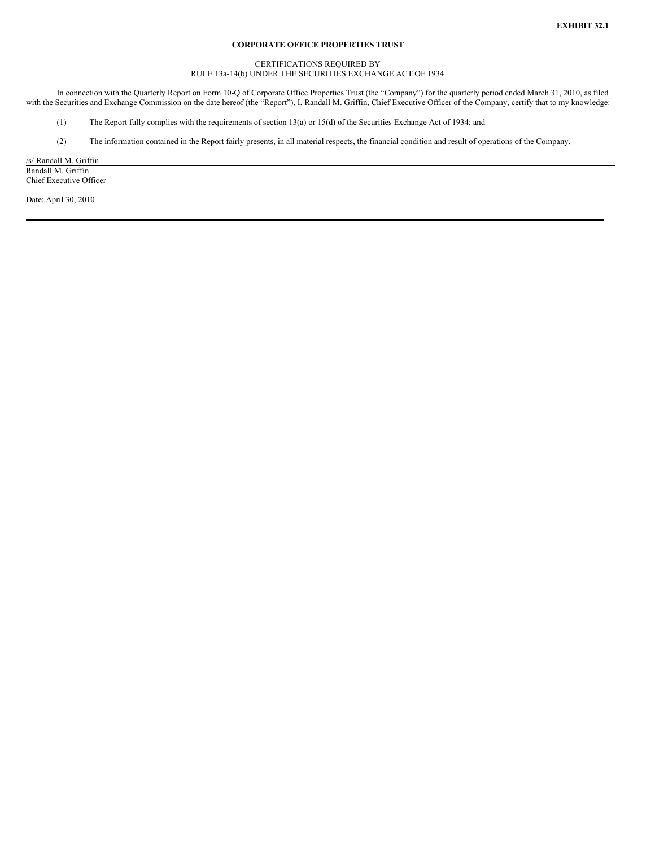# CERTIFICATIONS REQUIRED BY RULE 13a-14(b) UNDER THE SECURITIES EXCHANGE ACT OF 1934

In connection with the Quarterly Report on Form 10-Q of Corporate Office Properties Trust (the "Company") for the quarterly period ended March 31, 2010, as filed with the Securities and Exchange Commission on the date hereof (the "Report"), I, Randall M. Griffin, Chief Executive Officer of the Company, certify that to my knowledge:

- (1) The Report fully complies with the requirements of section 13(a) or 15(d) of the Securities Exchange Act of 1934; and
- (2) The information contained in the Report fairly presents, in all material respects, the financial condition and result of operations of the Company.

/s/ Randall M. Griffin Randall M. Griffin Chief Executive Officer

Date: April 30, 2010